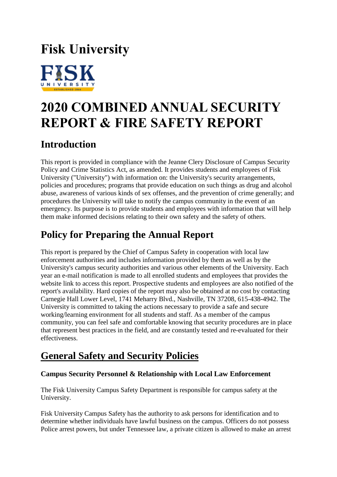# **Fisk University**



# **2020 COMBINED ANNUAL SECURITY REPORT & FIRE SAFETY REPORT**

# **Introduction**

This report is provided in compliance with the Jeanne Clery Disclosure of Campus Security Policy and Crime Statistics Act, as amended. It provides students and employees of Fisk University ("University") with information on: the University's security arrangements, policies and procedures; programs that provide education on such things as drug and alcohol abuse, awareness of various kinds of sex offenses, and the prevention of crime generally; and procedures the University will take to notify the campus community in the event of an emergency. Its purpose is to provide students and employees with information that will help them make informed decisions relating to their own safety and the safety of others.

# **Policy for Preparing the Annual Report**

This report is prepared by the Chief of Campus Safety in cooperation with local law enforcement authorities and includes information provided by them as well as by the University's campus security authorities and various other elements of the University. Each year an e-mail notification is made to all enrolled students and employees that provides the website link to access this report. Prospective students and employees are also notified of the report's availability. Hard copies of the report may also be obtained at no cost by contacting Carnegie Hall Lower Level, 1741 Meharry Blvd., Nashville, TN 37208, 615-438-4942. The University is committed to taking the actions necessary to provide a safe and secure working/learning environment for all students and staff. As a member of the campus community, you can feel safe and comfortable knowing that security procedures are in place that represent best practices in the field, and are constantly tested and re-evaluated for their effectiveness.

# **General Safety and Security Policies**

# **Campus Security Personnel & Relationship with Local Law Enforcement**

The Fisk University Campus Safety Department is responsible for campus safety at the University.

Fisk University Campus Safety has the authority to ask persons for identification and to determine whether individuals have lawful business on the campus. Officers do not possess Police arrest powers, but under Tennessee law, a private citizen is allowed to make an arrest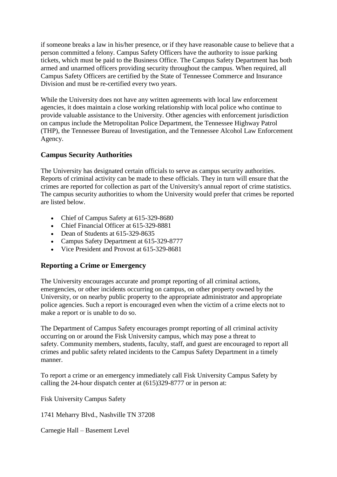if someone breaks a law in his/her presence, or if they have reasonable cause to believe that a person committed a felony. Campus Safety Officers have the authority to issue parking tickets, which must be paid to the Business Office. The Campus Safety Department has both armed and unarmed officers providing security throughout the campus. When required, all Campus Safety Officers are certified by the State of Tennessee Commerce and Insurance Division and must be re-certified every two years.

While the University does not have any written agreements with local law enforcement agencies, it does maintain a close working relationship with local police who continue to provide valuable assistance to the University. Other agencies with enforcement jurisdiction on campus include the Metropolitan Police Department, the Tennessee Highway Patrol (THP), the Tennessee Bureau of Investigation, and the Tennessee Alcohol Law Enforcement Agency.

# **Campus Security Authorities**

The University has designated certain officials to serve as campus security authorities. Reports of criminal activity can be made to these officials. They in turn will ensure that the crimes are reported for collection as part of the University's annual report of crime statistics. The campus security authorities to whom the University would prefer that crimes be reported are listed below.

- Chief of Campus Safety at 615-329-8680
- Chief Financial Officer at 615-329-8881
- Dean of Students at 615-329-8635
- Campus Safety Department at 615-329-8777
- Vice President and Provost at 615-329-8681

# **Reporting a Crime or Emergency**

The University encourages accurate and prompt reporting of all criminal actions, emergencies, or other incidents occurring on campus, on other property owned by the University, or on nearby public property to the appropriate administrator and appropriate police agencies. Such a report is encouraged even when the victim of a crime elects not to make a report or is unable to do so.

The Department of Campus Safety encourages prompt reporting of all criminal activity occurring on or around the Fisk University campus, which may pose a threat to safety. Community members, students, faculty, staff, and guest are encouraged to report all crimes and public safety related incidents to the Campus Safety Department in a timely manner.

To report a crime or an emergency immediately call Fisk University Campus Safety by calling the 24-hour dispatch center at (615)329-8777 or in person at:

Fisk University Campus Safety

1741 Meharry Blvd., Nashville TN 37208

Carnegie Hall – Basement Level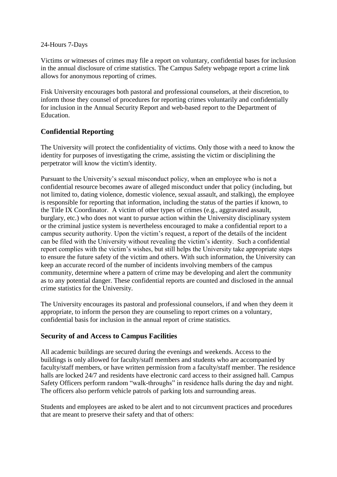#### 24-Hours 7-Days

Victims or witnesses of crimes may file a report on voluntary, confidential bases for inclusion in the annual disclosure of crime statistics. The Campus Safety webpage report a crime link allows for anonymous reporting of crimes.

Fisk University encourages both pastoral and professional counselors, at their discretion, to inform those they counsel of procedures for reporting crimes voluntarily and confidentially for inclusion in the Annual Security Report and web-based report to the Department of Education.

# **Confidential Reporting**

The University will protect the confidentiality of victims. Only those with a need to know the identity for purposes of investigating the crime, assisting the victim or disciplining the perpetrator will know the victim's identity.

Pursuant to the University's sexual misconduct policy, when an employee who is not a confidential resource becomes aware of alleged misconduct under that policy (including, but not limited to, dating violence, domestic violence, sexual assault, and stalking), the employee is responsible for reporting that information, including the status of the parties if known, to the Title IX Coordinator. A victim of other types of crimes (e.g., aggravated assault, burglary, etc.) who does not want to pursue action within the University disciplinary system or the criminal justice system is nevertheless encouraged to make a confidential report to a campus security authority. Upon the victim's request, a report of the details of the incident can be filed with the University without revealing the victim's identity. Such a confidential report complies with the victim's wishes, but still helps the University take appropriate steps to ensure the future safety of the victim and others. With such information, the University can keep an accurate record of the number of incidents involving members of the campus community, determine where a pattern of crime may be developing and alert the community as to any potential danger. These confidential reports are counted and disclosed in the annual crime statistics for the University.

The University encourages its pastoral and professional counselors, if and when they deem it appropriate, to inform the person they are counseling to report crimes on a voluntary, confidential basis for inclusion in the annual report of crime statistics.

# **Security of and Access to Campus Facilities**

All academic buildings are secured during the evenings and weekends. Access to the buildings is only allowed for faculty/staff members and students who are accompanied by faculty/staff members, or have written permission from a faculty/staff member. The residence halls are locked 24/7 and residents have electronic card access to their assigned hall. Campus Safety Officers perform random "walk-throughs" in residence halls during the day and night. The officers also perform vehicle patrols of parking lots and surrounding areas.

Students and employees are asked to be alert and to not circumvent practices and procedures that are meant to preserve their safety and that of others: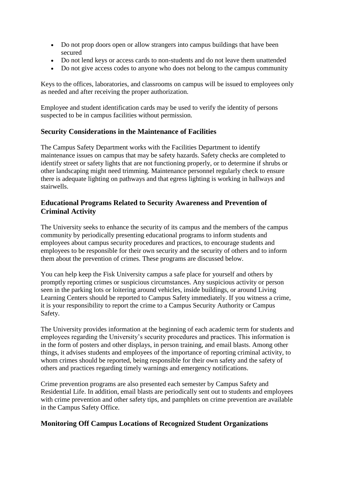- Do not prop doors open or allow strangers into campus buildings that have been secured
- Do not lend keys or access cards to non-students and do not leave them unattended
- Do not give access codes to anyone who does not belong to the campus community

Keys to the offices, laboratories, and classrooms on campus will be issued to employees only as needed and after receiving the proper authorization.

Employee and student identification cards may be used to verify the identity of persons suspected to be in campus facilities without permission.

#### **Security Considerations in the Maintenance of Facilities**

The Campus Safety Department works with the Facilities Department to identify maintenance issues on campus that may be safety hazards. Safety checks are completed to identify street or safety lights that are not functioning properly, or to determine if shrubs or other landscaping might need trimming. Maintenance personnel regularly check to ensure there is adequate lighting on pathways and that egress lighting is working in hallways and stairwells.

# **Educational Programs Related to Security Awareness and Prevention of Criminal Activity**

The University seeks to enhance the security of its campus and the members of the campus community by periodically presenting educational programs to inform students and employees about campus security procedures and practices, to encourage students and employees to be responsible for their own security and the security of others and to inform them about the prevention of crimes. These programs are discussed below.

You can help keep the Fisk University campus a safe place for yourself and others by promptly reporting crimes or suspicious circumstances. Any suspicious activity or person seen in the parking lots or loitering around vehicles, inside buildings, or around Living Learning Centers should be reported to Campus Safety immediately. If you witness a crime, it is your responsibility to report the crime to a Campus Security Authority or Campus Safety.

The University provides information at the beginning of each academic term for students and employees regarding the University's security procedures and practices. This information is in the form of posters and other displays, in person training, and email blasts. Among other things, it advises students and employees of the importance of reporting criminal activity, to whom crimes should be reported, being responsible for their own safety and the safety of others and practices regarding timely warnings and emergency notifications.

Crime prevention programs are also presented each semester by Campus Safety and Residential Life. In addition, email blasts are periodically sent out to students and employees with crime prevention and other safety tips, and pamphlets on crime prevention are available in the Campus Safety Office.

# **Monitoring Off Campus Locations of Recognized Student Organizations**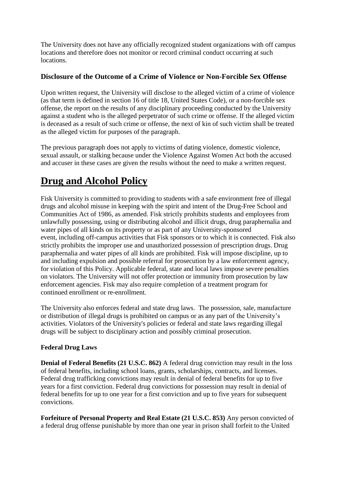The University does not have any officially recognized student organizations with off campus locations and therefore does not monitor or record criminal conduct occurring at such locations.

# **Disclosure of the Outcome of a Crime of Violence or Non-Forcible Sex Offense**

Upon written request, the University will disclose to the alleged victim of a crime of violence (as that term is defined in section 16 of title 18, United States Code), or a non-forcible sex offense, the report on the results of any disciplinary proceeding conducted by the University against a student who is the alleged perpetrator of such crime or offense. If the alleged victim is deceased as a result of such crime or offense, the next of kin of such victim shall be treated as the alleged victim for purposes of the paragraph.

The previous paragraph does not apply to victims of dating violence, domestic violence, sexual assault, or stalking because under the Violence Against Women Act both the accused and accuser in these cases are given the results without the need to make a written request.

# **Drug and Alcohol Policy**

Fisk University is committed to providing to students with a safe environment free of illegal drugs and alcohol misuse in keeping with the spirit and intent of the Drug-Free School and Communities Act of 1986, as amended. Fisk strictly prohibits students and employees from unlawfully possessing, using or distributing alcohol and illicit drugs, drug paraphernalia and water pipes of all kinds on its property or as part of any University-sponsored event, including off-campus activities that Fisk sponsors or to which it is connected. Fisk also strictly prohibits the improper use and unauthorized possession of prescription drugs. Drug paraphernalia and water pipes of all kinds are prohibited. Fisk will impose discipline, up to and including expulsion and possible referral for prosecution by a law enforcement agency, for violation of this Policy. Applicable federal, state and local laws impose severe penalties on violators. The University will not offer protection or immunity from prosecution by law enforcement agencies. Fisk may also require completion of a treatment program for continued enrollment or re-enrollment.

The University also enforces federal and state drug laws. The possession, sale, manufacture or distribution of illegal drugs is prohibited on campus or as any part of the University's activities. Violators of the University's policies or federal and state laws regarding illegal drugs will be subject to disciplinary action and possibly criminal prosecution.

# **Federal Drug Laws**

**Denial of Federal Benefits (21 U.S.C. 862)** A federal drug conviction may result in the loss of federal benefits, including school loans, grants, scholarships, contracts, and licenses. Federal drug trafficking convictions may result in denial of federal benefits for up to five years for a first conviction. Federal drug convictions for possession may result in denial of federal benefits for up to one year for a first conviction and up to five years for subsequent convictions.

**Forfeiture of Personal Property and Real Estate (21 U.S.C. 853)** Any person convicted of a federal drug offense punishable by more than one year in prison shall forfeit to the United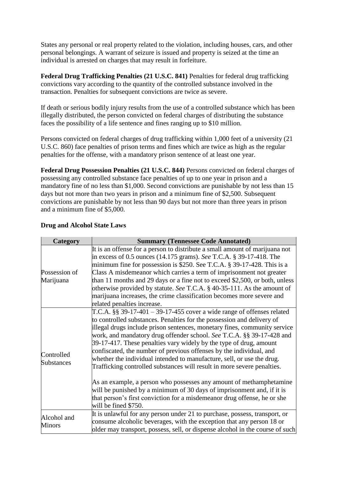States any personal or real property related to the violation, including houses, cars, and other personal belongings. A warrant of seizure is issued and property is seized at the time an individual is arrested on charges that may result in forfeiture.

**Federal Drug Trafficking Penalties (21 U.S.C. 841)** Penalties for federal drug trafficking convictions vary according to the quantity of the controlled substance involved in the transaction. Penalties for subsequent convictions are twice as severe.

If death or serious bodily injury results from the use of a controlled substance which has been illegally distributed, the person convicted on federal charges of distributing the substance faces the possibility of a life sentence and fines ranging up to \$10 million.

Persons convicted on federal charges of drug trafficking within 1,000 feet of a university (21 U.S.C. 860) face penalties of prison terms and fines which are twice as high as the regular penalties for the offense, with a mandatory prison sentence of at least one year.

**Federal Drug Possession Penalties (21 U.S.C. 844)** Persons convicted on federal charges of possessing any controlled substance face penalties of up to one year in prison and a mandatory fine of no less than \$1,000. Second convictions are punishable by not less than 15 days but not more than two years in prison and a minimum fine of \$2,500. Subsequent convictions are punishable by not less than 90 days but not more than three years in prison and a minimum fine of \$5,000.

| Category                        | <b>Summary (Tennessee Code Annotated)</b>                                                                                                                                                                                                                                                                                                                                                                                                                                                                                                                                                                                                                                                                                                                                                                                                                         |
|---------------------------------|-------------------------------------------------------------------------------------------------------------------------------------------------------------------------------------------------------------------------------------------------------------------------------------------------------------------------------------------------------------------------------------------------------------------------------------------------------------------------------------------------------------------------------------------------------------------------------------------------------------------------------------------------------------------------------------------------------------------------------------------------------------------------------------------------------------------------------------------------------------------|
| Possession of<br>Marijuana      | It is an offense for a person to distribute a small amount of marijuana not<br>in excess of 0.5 ounces (14.175 grams). See T.C.A. § 39-17-418. The<br>minimum fine for possession is \$250. See T.C.A. $\S$ 39-17-428. This is a<br>Class A misdemeanor which carries a term of imprisonment not greater<br>than 11 months and 29 days or a fine not to exceed \$2,500, or both, unless<br>otherwise provided by statute. See T.C.A. § 40-35-111. As the amount of<br>marijuana increases, the crime classification becomes more severe and<br>related penalties increase.                                                                                                                                                                                                                                                                                        |
| Controlled<br><b>Substances</b> | T.C.A. $\S$ § 39-17-401 – 39-17-455 cover a wide range of offenses related<br>to controlled substances. Penalties for the possession and delivery of<br>illegal drugs include prison sentences, monetary fines, community service<br>work, and mandatory drug offender school. See T.C.A. §§ 39-17-428 and<br>39-17-417. These penalties vary widely by the type of drug, amount<br>confiscated, the number of previous offenses by the individual, and<br>whether the individual intended to manufacture, sell, or use the drug.<br>Trafficking controlled substances will result in more severe penalties.<br>As an example, a person who possesses any amount of methamphetamine<br>will be punished by a minimum of 30 days of imprisonment and, if it is<br>that person's first conviction for a misdemeanor drug offense, he or she<br>will be fined \$750. |
| Alcohol and<br><b>Minors</b>    | It is unlawful for any person under 21 to purchase, possess, transport, or<br>consume alcoholic beverages, with the exception that any person 18 or<br>older may transport, possess, sell, or dispense alcohol in the course of such                                                                                                                                                                                                                                                                                                                                                                                                                                                                                                                                                                                                                              |

# **Drug and Alcohol State Laws**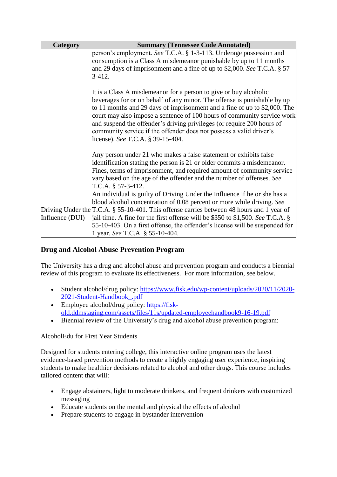| Category        | <b>Summary (Tennessee Code Annotated)</b>                                                                                                                                                                                                                                                                                                                                                                                                                                                   |
|-----------------|---------------------------------------------------------------------------------------------------------------------------------------------------------------------------------------------------------------------------------------------------------------------------------------------------------------------------------------------------------------------------------------------------------------------------------------------------------------------------------------------|
|                 | person's employment. See T.C.A. § 1-3-113. Underage possession and<br>consumption is a Class A misdemeanor punishable by up to 11 months<br>and 29 days of imprisonment and a fine of up to \$2,000. See T.C.A. § 57-<br>$3-412.$                                                                                                                                                                                                                                                           |
|                 | It is a Class A misdemeanor for a person to give or buy alcoholic<br>beverages for or on behalf of any minor. The offense is punishable by up<br>to 11 months and 29 days of imprisonment and a fine of up to \$2,000. The<br>court may also impose a sentence of 100 hours of community service work<br>and suspend the offender's driving privileges (or require 200 hours of<br>community service if the offender does not possess a valid driver's<br>license). See T.C.A. § 39-15-404. |
|                 | Any person under 21 who makes a false statement or exhibits false<br>identification stating the person is 21 or older commits a misdemeanor.<br>Fines, terms of imprisonment, and required amount of community service<br>vary based on the age of the offender and the number of offenses. See<br>T.C.A. $\S$ 57-3-412.                                                                                                                                                                    |
|                 | An individual is guilty of Driving Under the Influence if he or she has a<br>blood alcohol concentration of 0.08 percent or more while driving. See                                                                                                                                                                                                                                                                                                                                         |
|                 | Driving Under the $[T.C.A. § 55-10-401$ . This offense carries between 48 hours and 1 year of                                                                                                                                                                                                                                                                                                                                                                                               |
| Influence (DUI) | ) jail time. A fine for the first offense will be \$350 to \$1,500. See T.C.A. $\S$<br>55-10-403. On a first offense, the offender's license will be suspended for<br>1 year. See T.C.A. § 55-10-404.                                                                                                                                                                                                                                                                                       |

# **Drug and Alcohol Abuse Prevention Program**

The University has a drug and alcohol abuse and prevention program and conducts a biennial review of this program to evaluate its effectiveness. For more information, see below.

- Student alcohol/drug policy: [https://www.fisk.edu/wp-content/uploads/2020/11/2020-](https://www.fisk.edu/wp-content/uploads/2020/11/2020-2021-Student-Handbook_.pdf) [2021-Student-Handbook\\_.pdf](https://www.fisk.edu/wp-content/uploads/2020/11/2020-2021-Student-Handbook_.pdf)
- Employee alcohol/drug policy: [https://fisk](https://fisk-old.ddmstaging.com/assets/files/11s/updated-employeehandbook9-16-19.pdf)[old.ddmstaging.com/assets/files/11s/updated-employeehandbook9-16-19.pdf](https://fisk-old.ddmstaging.com/assets/files/11s/updated-employeehandbook9-16-19.pdf)
- Biennial review of the University's drug and alcohol abuse prevention program:

# AlcoholEdu for First Year Students

Designed for students entering college, this interactive online program uses the latest evidence-based prevention methods to create a highly engaging user experience, inspiring students to make healthier decisions related to alcohol and other drugs. This course includes tailored content that will:

- Engage abstainers, light to moderate drinkers, and frequent drinkers with customized messaging
- Educate students on the mental and physical the effects of alcohol
- Prepare students to engage in bystander intervention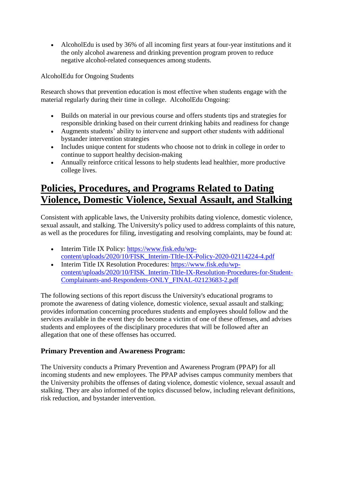AlcoholEdu is used by 36% of all incoming first years at four-year institutions and it the only alcohol awareness and drinking prevention program proven to reduce negative alcohol-related consequences among students.

AlcoholEdu for Ongoing Students

Research shows that prevention education is most effective when students engage with the material regularly during their time in college. AlcoholEdu Ongoing:

- Builds on material in our previous course and offers students tips and strategies for responsible drinking based on their current drinking habits and readiness for change
- Augments students' ability to intervene and support other students with additional bystander intervention strategies
- Includes unique content for students who choose not to drink in college in order to continue to support healthy decision-making
- Annually reinforce critical lessons to help students lead healthier, more productive college lives.

# **Policies, Procedures, and Programs Related to Dating Violence, Domestic Violence, Sexual Assault, and Stalking**

Consistent with applicable laws, the University prohibits dating violence, domestic violence, sexual assault, and stalking. The University's policy used to address complaints of this nature, as well as the procedures for filing, investigating and resolving complaints, may be found at:

- Interim Title IX Policy: [https://www.fisk.edu/wp](https://www.fisk.edu/wp-content/uploads/2020/10/FISK_Interim-TItle-IX-Policy-2020-02114224-4.pdf)[content/uploads/2020/10/FISK\\_Interim-TItle-IX-Policy-2020-02114224-4.pdf](https://www.fisk.edu/wp-content/uploads/2020/10/FISK_Interim-TItle-IX-Policy-2020-02114224-4.pdf)
- Interim Title IX Resolution Procedures: [https://www.fisk.edu/wp](https://www.fisk.edu/wp-content/uploads/2020/10/FISK_Interim-TItle-IX-Resolution-Procedures-for-Student-Complainants-and-Respondents-ONLY_FINAL-02123683-2.pdf)[content/uploads/2020/10/FISK\\_Interim-TItle-IX-Resolution-Procedures-for-Student-](https://www.fisk.edu/wp-content/uploads/2020/10/FISK_Interim-TItle-IX-Resolution-Procedures-for-Student-Complainants-and-Respondents-ONLY_FINAL-02123683-2.pdf)[Complainants-and-Respondents-ONLY\\_FINAL-02123683-2.pdf](https://www.fisk.edu/wp-content/uploads/2020/10/FISK_Interim-TItle-IX-Resolution-Procedures-for-Student-Complainants-and-Respondents-ONLY_FINAL-02123683-2.pdf)

The following sections of this report discuss the University's educational programs to promote the awareness of dating violence, domestic violence, sexual assault and stalking; provides information concerning procedures students and employees should follow and the services available in the event they do become a victim of one of these offenses, and advises students and employees of the disciplinary procedures that will be followed after an allegation that one of these offenses has occurred.

# **Primary Prevention and Awareness Program:**

The University conducts a Primary Prevention and Awareness Program (PPAP) for all incoming students and new employees. The PPAP advises campus community members that the University prohibits the offenses of dating violence, domestic violence, sexual assault and stalking. They are also informed of the topics discussed below, including relevant definitions, risk reduction, and bystander intervention.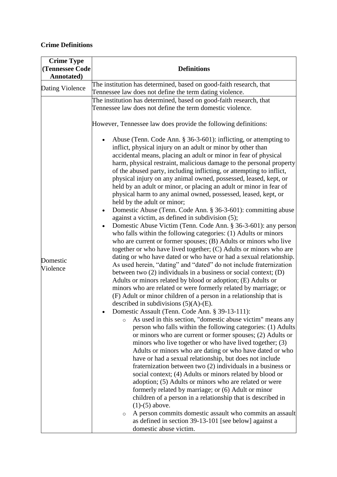# **Crime Definitions**

| <b>Crime Type</b><br>(Tennessee Code | <b>Definitions</b>                                                                                                                                                                                                                                                                                                                                                                                                                                                                                                                                                                                                                                                                                                                                                                                                                                                                                                                                                                                                                                                                                                                                                                                                                                                                                                                                                                                                                                                                                                                                                                             |
|--------------------------------------|------------------------------------------------------------------------------------------------------------------------------------------------------------------------------------------------------------------------------------------------------------------------------------------------------------------------------------------------------------------------------------------------------------------------------------------------------------------------------------------------------------------------------------------------------------------------------------------------------------------------------------------------------------------------------------------------------------------------------------------------------------------------------------------------------------------------------------------------------------------------------------------------------------------------------------------------------------------------------------------------------------------------------------------------------------------------------------------------------------------------------------------------------------------------------------------------------------------------------------------------------------------------------------------------------------------------------------------------------------------------------------------------------------------------------------------------------------------------------------------------------------------------------------------------------------------------------------------------|
| Dating Violence                      | The institution has determined, based on good-faith research, that                                                                                                                                                                                                                                                                                                                                                                                                                                                                                                                                                                                                                                                                                                                                                                                                                                                                                                                                                                                                                                                                                                                                                                                                                                                                                                                                                                                                                                                                                                                             |
| Annotated)<br>Domestic<br>Violence   | Tennessee law does not define the term dating violence.<br>The institution has determined, based on good-faith research, that<br>Tennessee law does not define the term domestic violence.<br>However, Tennessee law does provide the following definitions:<br>Abuse (Tenn. Code Ann. $\S 36-3-601$ ): inflicting, or attempting to<br>$\bullet$<br>inflict, physical injury on an adult or minor by other than<br>accidental means, placing an adult or minor in fear of physical<br>harm, physical restraint, malicious damage to the personal property<br>of the abused party, including inflicting, or attempting to inflict,<br>physical injury on any animal owned, possessed, leased, kept, or<br>held by an adult or minor, or placing an adult or minor in fear of<br>physical harm to any animal owned, possessed, leased, kept, or<br>held by the adult or minor;<br>Domestic Abuse (Tenn. Code Ann. § 36-3-601): committing abuse<br>$\bullet$<br>against a victim, as defined in subdivision (5);<br>Domestic Abuse Victim (Tenn. Code Ann. § 36-3-601): any person<br>$\bullet$<br>who falls within the following categories: (1) Adults or minors<br>who are current or former spouses; (B) Adults or minors who live<br>together or who have lived together; (C) Adults or minors who are<br>dating or who have dated or who have or had a sexual relationship.<br>As used herein, "dating" and "dated" do not include fraternization<br>between two $(2)$ individuals in a business or social context; $(D)$<br>Adults or minors related by blood or adoption; (E) Adults or |
|                                      | minors who are related or were formerly related by marriage; or<br>(F) Adult or minor children of a person in a relationship that is<br>described in subdivisions $(5)(A)$ -(E).<br>Domestic Assault (Tenn. Code Ann. § 39-13-111):<br>As used in this section, "domestic abuse victim" means any<br>$\circ$<br>person who falls within the following categories: (1) Adults<br>or minors who are current or former spouses; (2) Adults or<br>minors who live together or who have lived together; (3)<br>Adults or minors who are dating or who have dated or who<br>have or had a sexual relationship, but does not include<br>fraternization between two (2) individuals in a business or<br>social context; (4) Adults or minors related by blood or<br>adoption; (5) Adults or minors who are related or were<br>formerly related by marriage; or (6) Adult or minor<br>children of a person in a relationship that is described in<br>$(1)-(5)$ above.<br>A person commits domestic assault who commits an assault<br>$\circ$<br>as defined in section 39-13-101 [see below] against a<br>domestic abuse victim.                                                                                                                                                                                                                                                                                                                                                                                                                                                                         |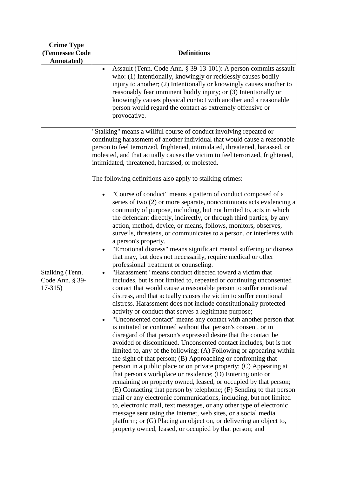| <b>Crime Type</b><br>(Tennessee Code<br>Annotated) | <b>Definitions</b>                                                                                                                                                                                                                                                                                                                                                                                                                                                                                                                                                                                                                                                                                                                                                                                                                                                                                                                                                                                                                                                                                                                                                                                                                                                                                                                                                                                                                                                                                         |
|----------------------------------------------------|------------------------------------------------------------------------------------------------------------------------------------------------------------------------------------------------------------------------------------------------------------------------------------------------------------------------------------------------------------------------------------------------------------------------------------------------------------------------------------------------------------------------------------------------------------------------------------------------------------------------------------------------------------------------------------------------------------------------------------------------------------------------------------------------------------------------------------------------------------------------------------------------------------------------------------------------------------------------------------------------------------------------------------------------------------------------------------------------------------------------------------------------------------------------------------------------------------------------------------------------------------------------------------------------------------------------------------------------------------------------------------------------------------------------------------------------------------------------------------------------------------|
|                                                    | Assault (Tenn. Code Ann. § 39-13-101): A person commits assault<br>$\bullet$<br>who: (1) Intentionally, knowingly or recklessly causes bodily<br>injury to another; (2) Intentionally or knowingly causes another to<br>reasonably fear imminent bodily injury; or (3) Intentionally or<br>knowingly causes physical contact with another and a reasonable<br>person would regard the contact as extremely offensive or<br>provocative.                                                                                                                                                                                                                                                                                                                                                                                                                                                                                                                                                                                                                                                                                                                                                                                                                                                                                                                                                                                                                                                                    |
| Stalking (Tenn.<br>Code Ann. § 39-<br>$17-315$     | "Stalking" means a willful course of conduct involving repeated or<br>continuing harassment of another individual that would cause a reasonable<br>person to feel terrorized, frightened, intimidated, threatened, harassed, or<br>molested, and that actually causes the victim to feel terrorized, frightened,<br>intimidated, threatened, harassed, or molested.<br>The following definitions also apply to stalking crimes:<br>"Course of conduct" means a pattern of conduct composed of a<br>$\bullet$<br>series of two (2) or more separate, noncontinuous acts evidencing a<br>continuity of purpose, including, but not limited to, acts in which<br>the defendant directly, indirectly, or through third parties, by any<br>action, method, device, or means, follows, monitors, observes,<br>surveils, threatens, or communicates to a person, or interferes with<br>a person's property.<br>"Emotional distress" means significant mental suffering or distress<br>$\bullet$<br>that may, but does not necessarily, require medical or other<br>professional treatment or counseling.<br>"Harassment" means conduct directed toward a victim that<br>includes, but is not limited to, repeated or continuing unconsented<br>contact that would cause a reasonable person to suffer emotional<br>distress, and that actually causes the victim to suffer emotional<br>distress. Harassment does not include constitutionally protected<br>activity or conduct that serves a legitimate purpose; |
|                                                    | "Unconsented contact" means any contact with another person that<br>$\bullet$<br>is initiated or continued without that person's consent, or in<br>disregard of that person's expressed desire that the contact be<br>avoided or discontinued. Unconsented contact includes, but is not<br>limited to, any of the following: (A) Following or appearing within<br>the sight of that person; (B) Approaching or confronting that<br>person in a public place or on private property; (C) Appearing at<br>that person's workplace or residence; (D) Entering onto or<br>remaining on property owned, leased, or occupied by that person;<br>(E) Contacting that person by telephone; (F) Sending to that person<br>mail or any electronic communications, including, but not limited<br>to, electronic mail, text messages, or any other type of electronic<br>message sent using the Internet, web sites, or a social media<br>platform; or (G) Placing an object on, or delivering an object to,<br>property owned, leased, or occupied by that person; and                                                                                                                                                                                                                                                                                                                                                                                                                                                |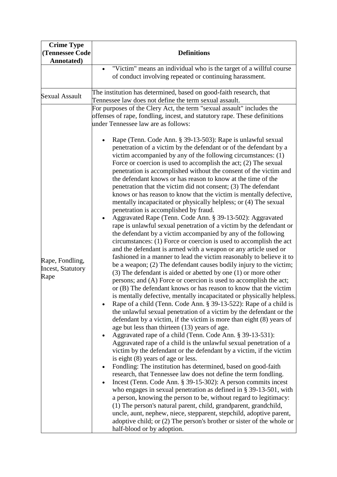| <b>Crime Type</b><br>(Tennessee Code<br>Annotated)  | <b>Definitions</b>                                                                                                                                                                                                                                                                                                                                                                                                                                                                                                                                                                                                                                                                                                                                                                                                                                                                                                                                                                                                                                                                                                                                                                                                                                                                                                                                                                                                                                                                                                                                                                                                                                                                                                                                                                                                                                                                                                                                                                                                                                                                                                                                                                                                                                                                                                                                                                              |
|-----------------------------------------------------|-------------------------------------------------------------------------------------------------------------------------------------------------------------------------------------------------------------------------------------------------------------------------------------------------------------------------------------------------------------------------------------------------------------------------------------------------------------------------------------------------------------------------------------------------------------------------------------------------------------------------------------------------------------------------------------------------------------------------------------------------------------------------------------------------------------------------------------------------------------------------------------------------------------------------------------------------------------------------------------------------------------------------------------------------------------------------------------------------------------------------------------------------------------------------------------------------------------------------------------------------------------------------------------------------------------------------------------------------------------------------------------------------------------------------------------------------------------------------------------------------------------------------------------------------------------------------------------------------------------------------------------------------------------------------------------------------------------------------------------------------------------------------------------------------------------------------------------------------------------------------------------------------------------------------------------------------------------------------------------------------------------------------------------------------------------------------------------------------------------------------------------------------------------------------------------------------------------------------------------------------------------------------------------------------------------------------------------------------------------------------------------------------|
|                                                     | "Victim" means an individual who is the target of a willful course<br>$\bullet$<br>of conduct involving repeated or continuing harassment.<br>The institution has determined, based on good-faith research, that                                                                                                                                                                                                                                                                                                                                                                                                                                                                                                                                                                                                                                                                                                                                                                                                                                                                                                                                                                                                                                                                                                                                                                                                                                                                                                                                                                                                                                                                                                                                                                                                                                                                                                                                                                                                                                                                                                                                                                                                                                                                                                                                                                                |
| <b>Sexual Assault</b>                               | Tennessee law does not define the term sexual assault.<br>For purposes of the Clery Act, the term "sexual assault" includes the<br>offenses of rape, fondling, incest, and statutory rape. These definitions<br>under Tennessee law are as follows:<br>Rape (Tenn. Code Ann. § 39-13-503): Rape is unlawful sexual<br>$\bullet$<br>penetration of a victim by the defendant or of the defendant by a<br>victim accompanied by any of the following circumstances: (1)                                                                                                                                                                                                                                                                                                                                                                                                                                                                                                                                                                                                                                                                                                                                                                                                                                                                                                                                                                                                                                                                                                                                                                                                                                                                                                                                                                                                                                                                                                                                                                                                                                                                                                                                                                                                                                                                                                                           |
| Rape, Fondling,<br><b>Incest, Statutory</b><br>Rape | Force or coercion is used to accomplish the act; $(2)$ The sexual<br>penetration is accomplished without the consent of the victim and<br>the defendant knows or has reason to know at the time of the<br>penetration that the victim did not consent; (3) The defendant<br>knows or has reason to know that the victim is mentally defective,<br>mentally incapacitated or physically helpless; or (4) The sexual<br>penetration is accomplished by fraud.<br>Aggravated Rape (Tenn. Code Ann. § 39-13-502): Aggravated<br>$\bullet$<br>rape is unlawful sexual penetration of a victim by the defendant or<br>the defendant by a victim accompanied by any of the following<br>circumstances: (1) Force or coercion is used to accomplish the act<br>and the defendant is armed with a weapon or any article used or<br>fashioned in a manner to lead the victim reasonably to believe it to<br>be a weapon; (2) The defendant causes bodily injury to the victim;<br>$(3)$ The defendant is aided or abetted by one $(1)$ or more other<br>persons; and (A) Force or coercion is used to accomplish the act;<br>or (B) The defendant knows or has reason to know that the victim<br>is mentally defective, mentally incapacitated or physically helpless.<br>Rape of a child (Tenn. Code Ann. § 39-13-522): Rape of a child is<br>the unlawful sexual penetration of a victim by the defendant or the<br>defendant by a victim, if the victim is more than eight (8) years of<br>age but less than thirteen (13) years of age.<br>Aggravated rape of a child (Tenn. Code Ann. § 39-13-531):<br>Aggravated rape of a child is the unlawful sexual penetration of a<br>victim by the defendant or the defendant by a victim, if the victim<br>is eight (8) years of age or less.<br>Fondling: The institution has determined, based on good-faith<br>$\bullet$<br>research, that Tennessee law does not define the term fondling.<br>Incest (Tenn. Code Ann. § 39-15-302): A person commits incest<br>who engages in sexual penetration as defined in § 39-13-501, with<br>a person, knowing the person to be, without regard to legitimacy:<br>(1) The person's natural parent, child, grandparent, grandchild,<br>uncle, aunt, nephew, niece, stepparent, stepchild, adoptive parent,<br>adoptive child; or (2) The person's brother or sister of the whole or<br>half-blood or by adoption. |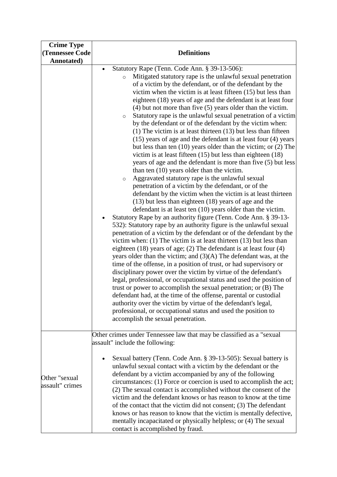| <b>Crime Type</b><br>(Tennessee Code<br>Annotated) | <b>Definitions</b>                                                                                                                                                                                                                                                                                                                                                                                                                                                                                                                                                                                                                                                                                                                                                                                                                                                                                                                                                                                                                                                                                                                                                                                                                                                                                                                                                                                                                                                                                                                                                                                                                                                                                                                                                                                                                                                                                                                                                                                                                                                                                                                                                                                                                                           |
|----------------------------------------------------|--------------------------------------------------------------------------------------------------------------------------------------------------------------------------------------------------------------------------------------------------------------------------------------------------------------------------------------------------------------------------------------------------------------------------------------------------------------------------------------------------------------------------------------------------------------------------------------------------------------------------------------------------------------------------------------------------------------------------------------------------------------------------------------------------------------------------------------------------------------------------------------------------------------------------------------------------------------------------------------------------------------------------------------------------------------------------------------------------------------------------------------------------------------------------------------------------------------------------------------------------------------------------------------------------------------------------------------------------------------------------------------------------------------------------------------------------------------------------------------------------------------------------------------------------------------------------------------------------------------------------------------------------------------------------------------------------------------------------------------------------------------------------------------------------------------------------------------------------------------------------------------------------------------------------------------------------------------------------------------------------------------------------------------------------------------------------------------------------------------------------------------------------------------------------------------------------------------------------------------------------------------|
|                                                    | Statutory Rape (Tenn. Code Ann. § 39-13-506):<br>$\bullet$<br>Mitigated statutory rape is the unlawful sexual penetration<br>$\circ$<br>of a victim by the defendant, or of the defendant by the<br>victim when the victim is at least fifteen (15) but less than<br>eighteen (18) years of age and the defendant is at least four<br>$(4)$ but not more than five $(5)$ years older than the victim.<br>Statutory rape is the unlawful sexual penetration of a victim<br>$\circ$<br>by the defendant or of the defendant by the victim when:<br>$(1)$ The victim is at least thirteen $(13)$ but less than fifteen<br>(15) years of age and the defendant is at least four (4) years<br>but less than ten $(10)$ years older than the victim; or $(2)$ The<br>victim is at least fifteen $(15)$ but less than eighteen $(18)$<br>years of age and the defendant is more than five (5) but less<br>than ten $(10)$ years older than the victim.<br>Aggravated statutory rape is the unlawful sexual<br>$\circ$<br>penetration of a victim by the defendant, or of the<br>defendant by the victim when the victim is at least thirteen<br>$(13)$ but less than eighteen $(18)$ years of age and the<br>defendant is at least ten (10) years older than the victim.<br>Statutory Rape by an authority figure (Tenn. Code Ann. § 39-13-<br>$\bullet$<br>532): Statutory rape by an authority figure is the unlawful sexual<br>penetration of a victim by the defendant or of the defendant by the<br>victim when: $(1)$ The victim is at least thirteen $(13)$ but less than<br>eighteen $(18)$ years of age; $(2)$ The defendant is at least four $(4)$<br>years older than the victim; and $(3)(A)$ The defendant was, at the<br>time of the offense, in a position of trust, or had supervisory or<br>disciplinary power over the victim by virtue of the defendant's<br>legal, professional, or occupational status and used the position of<br>trust or power to accomplish the sexual penetration; or (B) The<br>defendant had, at the time of the offense, parental or custodial<br>authority over the victim by virtue of the defendant's legal,<br>professional, or occupational status and used the position to<br>accomplish the sexual penetration. |
|                                                    | Other crimes under Tennessee law that may be classified as a "sexual"<br>assault" include the following:<br>Sexual battery (Tenn. Code Ann. § 39-13-505): Sexual battery is<br>$\bullet$<br>unlawful sexual contact with a victim by the defendant or the<br>defendant by a victim accompanied by any of the following                                                                                                                                                                                                                                                                                                                                                                                                                                                                                                                                                                                                                                                                                                                                                                                                                                                                                                                                                                                                                                                                                                                                                                                                                                                                                                                                                                                                                                                                                                                                                                                                                                                                                                                                                                                                                                                                                                                                       |
| Other "sexual<br>assault" crimes                   | circumstances: (1) Force or coercion is used to accomplish the act;<br>(2) The sexual contact is accomplished without the consent of the<br>victim and the defendant knows or has reason to know at the time<br>of the contact that the victim did not consent; (3) The defendant<br>knows or has reason to know that the victim is mentally defective,<br>mentally incapacitated or physically helpless; or (4) The sexual<br>contact is accomplished by fraud.                                                                                                                                                                                                                                                                                                                                                                                                                                                                                                                                                                                                                                                                                                                                                                                                                                                                                                                                                                                                                                                                                                                                                                                                                                                                                                                                                                                                                                                                                                                                                                                                                                                                                                                                                                                             |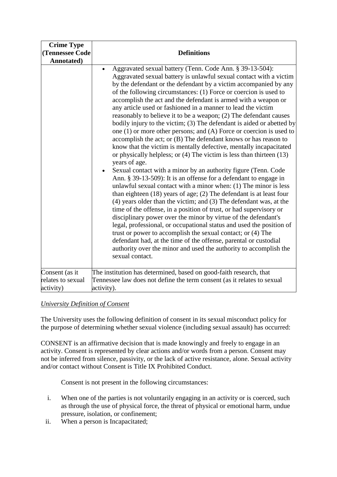| Annotated)                                                                                                                                                                                                                                                                                                                                                                                                                                                                                                                                                                                                                                                                                                                                                                                                                                                                                                                                                                                                                                                                                                                                                                                                                                                                                                                                                                                                                                                                                                                                                                                                                                                                                 |  |
|--------------------------------------------------------------------------------------------------------------------------------------------------------------------------------------------------------------------------------------------------------------------------------------------------------------------------------------------------------------------------------------------------------------------------------------------------------------------------------------------------------------------------------------------------------------------------------------------------------------------------------------------------------------------------------------------------------------------------------------------------------------------------------------------------------------------------------------------------------------------------------------------------------------------------------------------------------------------------------------------------------------------------------------------------------------------------------------------------------------------------------------------------------------------------------------------------------------------------------------------------------------------------------------------------------------------------------------------------------------------------------------------------------------------------------------------------------------------------------------------------------------------------------------------------------------------------------------------------------------------------------------------------------------------------------------------|--|
| Aggravated sexual battery (Tenn. Code Ann. § 39-13-504):<br>$\bullet$<br>Aggravated sexual battery is unlawful sexual contact with a victim<br>by the defendant or the defendant by a victim accompanied by any<br>of the following circumstances: (1) Force or coercion is used to<br>accomplish the act and the defendant is armed with a weapon or<br>any article used or fashioned in a manner to lead the victim<br>reasonably to believe it to be a weapon; (2) The defendant causes<br>bodily injury to the victim; (3) The defendant is aided or abetted by<br>one $(1)$ or more other persons; and $(A)$ Force or coercion is used to<br>accomplish the act; or (B) The defendant knows or has reason to<br>know that the victim is mentally defective, mentally incapacitated<br>or physically helpless; or (4) The victim is less than thirteen (13)<br>years of age.<br>Sexual contact with a minor by an authority figure (Tenn. Code<br>Ann. § 39-13-509): It is an offense for a defendant to engage in<br>unlawful sexual contact with a minor when: (1) The minor is less<br>than eighteen $(18)$ years of age; $(2)$ The defendant is at least four<br>$(4)$ years older than the victim; and $(3)$ The defendant was, at the<br>time of the offense, in a position of trust, or had supervisory or<br>disciplinary power over the minor by virtue of the defendant's<br>legal, professional, or occupational status and used the position of<br>trust or power to accomplish the sexual contact; or (4) The<br>defendant had, at the time of the offense, parental or custodial<br>authority over the minor and used the authority to accomplish the<br>sexual contact. |  |
| The institution has determined, based on good-faith research, that<br>Consent (as it                                                                                                                                                                                                                                                                                                                                                                                                                                                                                                                                                                                                                                                                                                                                                                                                                                                                                                                                                                                                                                                                                                                                                                                                                                                                                                                                                                                                                                                                                                                                                                                                       |  |
| relates to sexual<br>Tennessee law does not define the term consent (as it relates to sexual<br>activity)<br>activity).                                                                                                                                                                                                                                                                                                                                                                                                                                                                                                                                                                                                                                                                                                                                                                                                                                                                                                                                                                                                                                                                                                                                                                                                                                                                                                                                                                                                                                                                                                                                                                    |  |

# *University Definition of Consent*

The University uses the following definition of consent in its sexual misconduct policy for the purpose of determining whether sexual violence (including sexual assault) has occurred:

CONSENT is an affirmative decision that is made knowingly and freely to engage in an activity. Consent is represented by clear actions and/or words from a person. Consent may not be inferred from silence, passivity, or the lack of active resistance, alone. Sexual activity and/or contact without Consent is Title IX Prohibited Conduct.

Consent is not present in the following circumstances:

- i. When one of the parties is not voluntarily engaging in an activity or is coerced, such as through the use of physical force, the threat of physical or emotional harm, undue pressure, isolation, or confinement;
- ii. When a person is Incapacitated;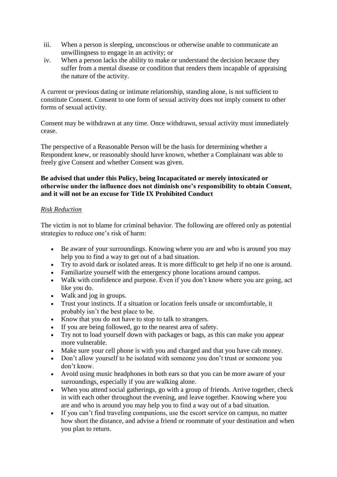- iii. When a person is sleeping, unconscious or otherwise unable to communicate an unwillingness to engage in an activity; or
- iv. When a person lacks the ability to make or understand the decision because they suffer from a mental disease or condition that renders them incapable of appraising the nature of the activity.

A current or previous dating or intimate relationship, standing alone, is not sufficient to constitute Consent. Consent to one form of sexual activity does not imply consent to other forms of sexual activity.

Consent may be withdrawn at any time. Once withdrawn, sexual activity must immediately cease.

The perspective of a Reasonable Person will be the basis for determining whether a Respondent knew, or reasonably should have known, whether a Complainant was able to freely give Consent and whether Consent was given.

# **Be advised that under this Policy, being Incapacitated or merely intoxicated or otherwise under the influence does not diminish one's responsibility to obtain Consent, and it will not be an excuse for Title IX Prohibited Conduct**

# *Risk Reduction*

The victim is not to blame for criminal behavior. The following are offered only as potential strategies to reduce one's risk of harm:

- Be aware of your surroundings. Knowing where you are and who is around you may help you to find a way to get out of a bad situation.
- Try to avoid dark or isolated areas. It is more difficult to get help if no one is around.
- Familiarize yourself with the emergency phone locations around campus.
- Walk with confidence and purpose. Even if you don't know where you are going, act like you do.
- Walk and jog in groups.
- Trust your instincts. If a situation or location feels unsafe or uncomfortable, it probably isn't the best place to be.
- Know that you do not have to stop to talk to strangers.
- If you are being followed, go to the nearest area of safety.
- Try not to load yourself down with packages or bags, as this can make you appear more vulnerable.
- Make sure your cell phone is with you and charged and that you have cab money.
- Don't allow yourself to be isolated with someone you don't trust or someone you don't know.
- Avoid using music headphones in both ears so that you can be more aware of your surroundings, especially if you are walking alone.
- When you attend social gatherings, go with a group of friends. Arrive together, check in with each other throughout the evening, and leave together. Knowing where you are and who is around you may help you to find a way out of a bad situation.
- If you can't find traveling companions, use the escort service on campus, no matter how short the distance, and advise a friend or roommate of your destination and when you plan to return.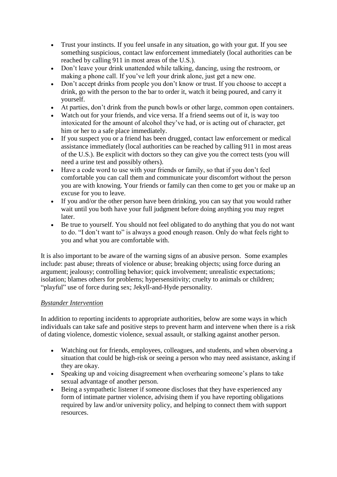- Trust your instincts. If you feel unsafe in any situation, go with your gut. If you see something suspicious, contact law enforcement immediately (local authorities can be reached by calling 911 in most areas of the U.S.).
- Don't leave your drink unattended while talking, dancing, using the restroom, or making a phone call. If you've left your drink alone, just get a new one.
- Don't accept drinks from people you don't know or trust. If you choose to accept a drink, go with the person to the bar to order it, watch it being poured, and carry it yourself.
- At parties, don't drink from the punch bowls or other large, common open containers.
- Watch out for your friends, and vice versa. If a friend seems out of it, is way too intoxicated for the amount of alcohol they've had, or is acting out of character, get him or her to a safe place immediately.
- If you suspect you or a friend has been drugged, contact law enforcement or medical assistance immediately (local authorities can be reached by calling 911 in most areas of the U.S.). Be explicit with doctors so they can give you the correct tests (you will need a urine test and possibly others).
- Have a code word to use with your friends or family, so that if you don't feel comfortable you can call them and communicate your discomfort without the person you are with knowing. Your friends or family can then come to get you or make up an excuse for you to leave.
- If you and/or the other person have been drinking, you can say that you would rather wait until you both have your full judgment before doing anything you may regret later.
- Be true to yourself. You should not feel obligated to do anything that you do not want to do. "I don't want to" is always a good enough reason. Only do what feels right to you and what you are comfortable with.

It is also important to be aware of the warning signs of an abusive person. Some examples include: past abuse; threats of violence or abuse; breaking objects; using force during an argument; jealousy; controlling behavior; quick involvement; unrealistic expectations; isolation; blames others for problems; hypersensitivity; cruelty to animals or children; "playful" use of force during sex; Jekyll-and-Hyde personality.

# *Bystander Intervention*

In addition to reporting incidents to appropriate authorities, below are some ways in which individuals can take safe and positive steps to prevent harm and intervene when there is a risk of dating violence, domestic violence, sexual assault, or stalking against another person.

- Watching out for friends, employees, colleagues, and students, and when observing a situation that could be high-risk or seeing a person who may need assistance, asking if they are okay.
- Speaking up and voicing disagreement when overhearing someone's plans to take sexual advantage of another person.
- Being a sympathetic listener if someone discloses that they have experienced any form of intimate partner violence, advising them if you have reporting obligations required by law and/or university policy, and helping to connect them with support resources.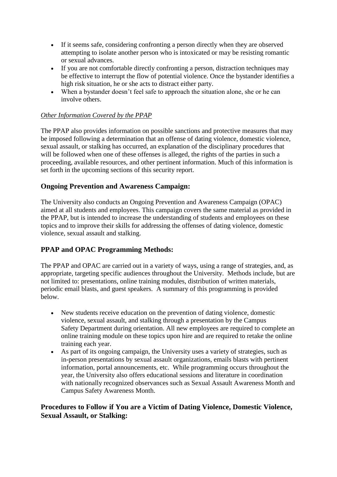- If it seems safe, considering confronting a person directly when they are observed attempting to isolate another person who is intoxicated or may be resisting romantic or sexual advances.
- If you are not comfortable directly confronting a person, distraction techniques may be effective to interrupt the flow of potential violence. Once the bystander identifies a high risk situation, he or she acts to distract either party.
- When a bystander doesn't feel safe to approach the situation alone, she or he can involve others.

# *Other Information Covered by the PPAP*

The PPAP also provides information on possible sanctions and protective measures that may be imposed following a determination that an offense of dating violence, domestic violence, sexual assault, or stalking has occurred, an explanation of the disciplinary procedures that will be followed when one of these offenses is alleged, the rights of the parties in such a proceeding, available resources, and other pertinent information. Much of this information is set forth in the upcoming sections of this security report.

# **Ongoing Prevention and Awareness Campaign:**

The University also conducts an Ongoing Prevention and Awareness Campaign (OPAC) aimed at all students and employees. This campaign covers the same material as provided in the PPAP, but is intended to increase the understanding of students and employees on these topics and to improve their skills for addressing the offenses of dating violence, domestic violence, sexual assault and stalking.

# **PPAP and OPAC Programming Methods:**

The PPAP and OPAC are carried out in a variety of ways, using a range of strategies, and, as appropriate, targeting specific audiences throughout the University. Methods include, but are not limited to: presentations, online training modules, distribution of written materials, periodic email blasts, and guest speakers. A summary of this programming is provided below.

- New students receive education on the prevention of dating violence, domestic violence, sexual assault, and stalking through a presentation by the Campus Safety Department during orientation. All new employees are required to complete an online training module on these topics upon hire and are required to retake the online training each year.
- As part of its ongoing campaign, the University uses a variety of strategies, such as in-person presentations by sexual assault organizations, emails blasts with pertinent information, portal announcements, etc. While programming occurs throughout the year, the University also offers educational sessions and literature in coordination with nationally recognized observances such as Sexual Assault Awareness Month and Campus Safety Awareness Month.

# **Procedures to Follow if You are a Victim of Dating Violence, Domestic Violence, Sexual Assault, or Stalking:**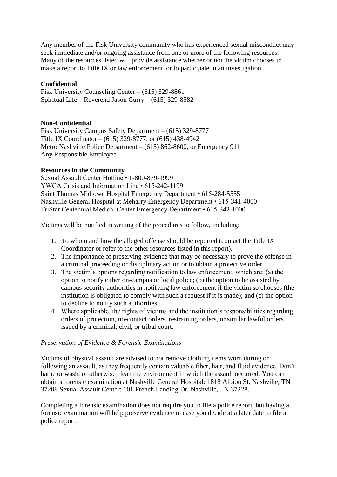Any member of the Fisk University community who has experienced sexual misconduct may seek immediate and/or ongoing assistance from one or more of the following resources. Many of the resources listed will provide assistance whether or not the victim chooses to make a report to Title IX or law enforcement, or to participate in an investigation.

#### **Confidential**

Fisk University Counseling Center – (615) 329-8861 Spiritual Life – Reverend Jason Curry – (615) 329-8582

#### **Non-Confidential**

Fisk University Campus Safety Department – (615) 329-8777 Title IX Coordinator – (615) 329-8777, or (615) 438-4942 Metro Nashville Police Department – (615) 862-8600, or Emergency 911 Any Responsible Employee

#### **Resources in the Community**

Sexual Assault Center Hotline • 1-800-879-1999 YWCA Crisis and Information Line • 615-242-1199 Saint Thomas Midtown Hospital Emergency Department • 615-284-5555 Nashville General Hospital at Meharry Emergency Department • 615-341-4000 TriStar Centennial Medical Center Emergency Department • 615-342-1000

Victims will be notified in writing of the procedures to follow, including:

- 1. To whom and how the alleged offense should be reported (contact the Title IX Coordinator or refer to the other resources listed in this report).
- 2. The importance of preserving evidence that may be necessary to prove the offense in a criminal proceeding or disciplinary action or to obtain a protective order.
- 3. The victim's options regarding notification to law enforcement, which are: (a) the option to notify either on-campus or local police; (b) the option to be assisted by campus security authorities in notifying law enforcement if the victim so chooses (the institution is obligated to comply with such a request if it is made); and (c) the option to decline to notify such authorities.
- 4. Where applicable, the rights of victims and the institution's responsibilities regarding orders of protection, no-contact orders, restraining orders, or similar lawful orders issued by a criminal, civil, or tribal court.

#### *Preservation of Evidence & Forensic Examinations*

Victims of physical assault are advised to not remove clothing items worn during or following an assault, as they frequently contain valuable fiber, hair, and fluid evidence. Don't bathe or wash, or otherwise clean the environment in which the assault occurred. You can obtain a forensic examination at Nashville General Hospital: 1818 Albion St, Nashville, TN 37208 Sexual Assault Center: 101 French Landing Dr, Nashville, TN 37228.

Completing a forensic examination does not require you to file a police report, but having a forensic examination will help preserve evidence in case you decide at a later date to file a police report.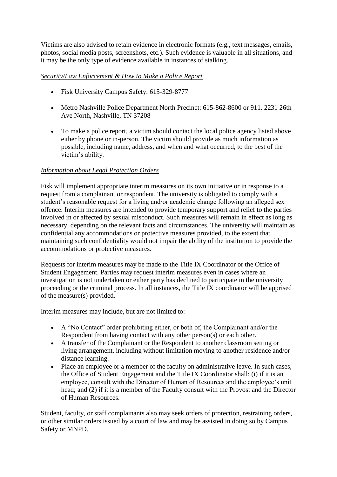Victims are also advised to retain evidence in electronic formats (e.g., text messages, emails, photos, social media posts, screenshots, etc.). Such evidence is valuable in all situations, and it may be the only type of evidence available in instances of stalking.

# *Security/Law Enforcement & How to Make a Police Report*

- Fisk University Campus Safety: 615-329-8777
- Metro Nashville Police Department North Precinct: 615-862-8600 or 911. 2231 26th Ave North, Nashville, TN 37208
- To make a police report, a victim should contact the local police agency listed above either by phone or in-person. The victim should provide as much information as possible, including name, address, and when and what occurred, to the best of the victim's ability.

# *Information about Legal Protection Orders*

Fisk will implement appropriate interim measures on its own initiative or in response to a request from a complainant or respondent. The university is obligated to comply with a student's reasonable request for a living and/or academic change following an alleged sex offence. Interim measures are intended to provide temporary support and relief to the parties involved in or affected by sexual misconduct. Such measures will remain in effect as long as necessary, depending on the relevant facts and circumstances. The university will maintain as confidential any accommodations or protective measures provided, to the extent that maintaining such confidentiality would not impair the ability of the institution to provide the accommodations or protective measures.

Requests for interim measures may be made to the Title IX Coordinator or the Office of Student Engagement. Parties may request interim measures even in cases where an investigation is not undertaken or either party has declined to participate in the university proceeding or the criminal process. In all instances, the Title IX coordinator will be apprised of the measure(s) provided.

Interim measures may include, but are not limited to:

- A "No Contact" order prohibiting either, or both of, the Complainant and/or the Respondent from having contact with any other person(s) or each other.
- A transfer of the Complainant or the Respondent to another classroom setting or living arrangement, including without limitation moving to another residence and/or distance learning.
- Place an employee or a member of the faculty on administrative leave. In such cases, the Office of Student Engagement and the Title IX Coordinator shall: (i) if it is an employee, consult with the Director of Human of Resources and the employee's unit head; and (2) if it is a member of the Faculty consult with the Provost and the Director of Human Resources.

Student, faculty, or staff complainants also may seek orders of protection, restraining orders, or other similar orders issued by a court of law and may be assisted in doing so by Campus Safety or MNPD.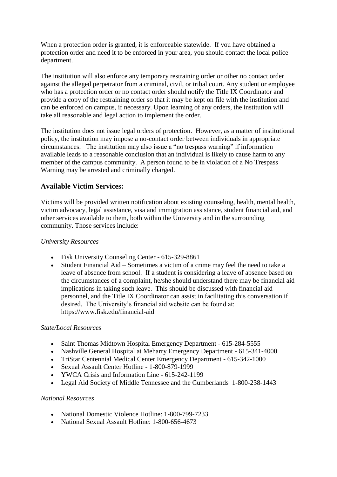When a protection order is granted, it is enforceable statewide. If you have obtained a protection order and need it to be enforced in your area, you should contact the local police department.

The institution will also enforce any temporary restraining order or other no contact order against the alleged perpetrator from a criminal, civil, or tribal court. Any student or employee who has a protection order or no contact order should notify the Title IX Coordinator and provide a copy of the restraining order so that it may be kept on file with the institution and can be enforced on campus, if necessary. Upon learning of any orders, the institution will take all reasonable and legal action to implement the order.

The institution does not issue legal orders of protection. However, as a matter of institutional policy, the institution may impose a no-contact order between individuals in appropriate circumstances. The institution may also issue a "no trespass warning" if information available leads to a reasonable conclusion that an individual is likely to cause harm to any member of the campus community. A person found to be in violation of a No Trespass Warning may be arrested and criminally charged.

# **Available Victim Services:**

Victims will be provided written notification about existing counseling, health, mental health, victim advocacy, legal assistance, visa and immigration assistance, student financial aid, and other services available to them, both within the University and in the surrounding community. Those services include:

#### *University Resources*

- Fisk University Counseling Center 615-329-8861
- Student Financial Aid Sometimes a victim of a crime may feel the need to take a leave of absence from school. If a student is considering a leave of absence based on the circumstances of a complaint, he/she should understand there may be financial aid implications in taking such leave. This should be discussed with financial aid personnel, and the Title IX Coordinator can assist in facilitating this conversation if desired. The University's financial aid website can be found at: https://www.fisk.edu/financial-aid

#### *State/Local Resources*

- Saint Thomas Midtown Hospital Emergency Department 615-284-5555
- Nashville General Hospital at Meharry Emergency Department 615-341-4000
- TriStar Centennial Medical Center Emergency Department 615-342-1000
- Sexual Assault Center Hotline 1-800-879-1999
- YWCA Crisis and Information Line 615-242-1199
- Legal Aid Society of Middle Tennessee and the Cumberlands 1-800-238-1443

#### *National Resources*

- National Domestic Violence Hotline: 1-800-799-7233
- National Sexual Assault Hotline: 1-800-656-4673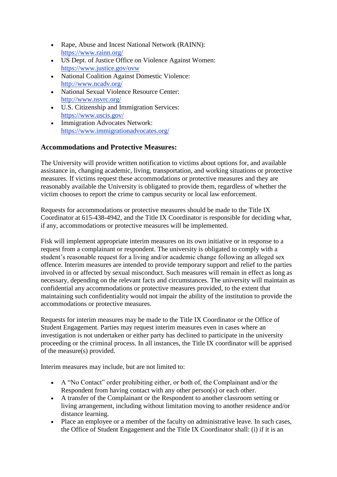- Rape, Abuse and Incest National Network (RAINN): <https://www.rainn.org/>
- US Dept. of Justice Office on Violence Against Women: <https://www.justice.gov/ovw>
- National Coalition Against Domestic Violence: <http://www.ncadv.org/>
- National Sexual Violence Resource Center: <http://www.nsvrc.org/>
- U.S. Citizenship and Immigration Services: <https://www.uscis.gov/>
- Immigration Advocates Network: <https://www.immigrationadvocates.org/>

# **Accommodations and Protective Measures:**

The University will provide written notification to victims about options for, and available assistance in, changing academic, living, transportation, and working situations or protective measures. If victims request these accommodations or protective measures and they are reasonably available the University is obligated to provide them, regardless of whether the victim chooses to report the crime to campus security or local law enforcement.

Requests for accommodations or protective measures should be made to the Title IX Coordinator at 615-438-4942, and the Title IX Coordinator is responsible for deciding what, if any, accommodations or protective measures will be implemented.

Fisk will implement appropriate interim measures on its own initiative or in response to a request from a complainant or respondent. The university is obligated to comply with a student's reasonable request for a living and/or academic change following an alleged sex offence. Interim measures are intended to provide temporary support and relief to the parties involved in or affected by sexual misconduct. Such measures will remain in effect as long as necessary, depending on the relevant facts and circumstances. The university will maintain as confidential any accommodations or protective measures provided, to the extent that maintaining such confidentiality would not impair the ability of the institution to provide the accommodations or protective measures.

Requests for interim measures may be made to the Title IX Coordinator or the Office of Student Engagement. Parties may request interim measures even in cases where an investigation is not undertaken or either party has declined to participate in the university proceeding or the criminal process. In all instances, the Title IX coordinator will be apprised of the measure(s) provided.

Interim measures may include, but are not limited to:

- A "No Contact" order prohibiting either, or both of, the Complainant and/or the Respondent from having contact with any other person(s) or each other.
- A transfer of the Complainant or the Respondent to another classroom setting or living arrangement, including without limitation moving to another residence and/or distance learning.
- Place an employee or a member of the faculty on administrative leave. In such cases, the Office of Student Engagement and the Title IX Coordinator shall: (i) if it is an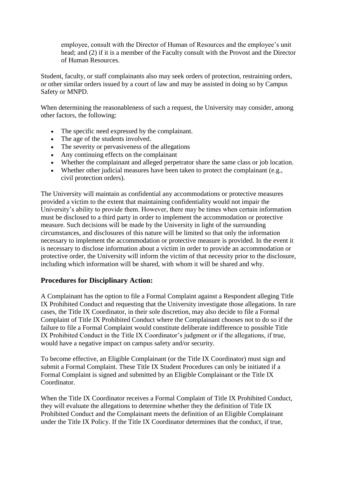employee, consult with the Director of Human of Resources and the employee's unit head; and (2) if it is a member of the Faculty consult with the Provost and the Director of Human Resources.

Student, faculty, or staff complainants also may seek orders of protection, restraining orders, or other similar orders issued by a court of law and may be assisted in doing so by Campus Safety or MNPD.

When determining the reasonableness of such a request, the University may consider, among other factors, the following:

- The specific need expressed by the complainant.
- The age of the students involved.
- The severity or pervasiveness of the allegations
- Any continuing effects on the complainant
- Whether the complainant and alleged perpetrator share the same class or job location.
- Whether other judicial measures have been taken to protect the complainant (e.g., civil protection orders).

The University will maintain as confidential any accommodations or protective measures provided a victim to the extent that maintaining confidentiality would not impair the University's ability to provide them. However, there may be times when certain information must be disclosed to a third party in order to implement the accommodation or protective measure. Such decisions will be made by the University in light of the surrounding circumstances, and disclosures of this nature will be limited so that only the information necessary to implement the accommodation or protective measure is provided. In the event it is necessary to disclose information about a victim in order to provide an accommodation or protective order, the University will inform the victim of that necessity prior to the disclosure, including which information will be shared, with whom it will be shared and why.

# **Procedures for Disciplinary Action:**

A Complainant has the option to file a Formal Complaint against a Respondent alleging Title IX Prohibited Conduct and requesting that the University investigate those allegations. In rare cases, the Title IX Coordinator, in their sole discretion, may also decide to file a Formal Complaint of Title IX Prohibited Conduct where the Complainant chooses not to do so if the failure to file a Formal Complaint would constitute deliberate indifference to possible Title IX Prohibited Conduct in the Title IX Coordinator's judgment or if the allegations, if true, would have a negative impact on campus safety and/or security.

To become effective, an Eligible Complainant (or the Title IX Coordinator) must sign and submit a Formal Complaint. These Title IX Student Procedures can only be initiated if a Formal Complaint is signed and submitted by an Eligible Complainant or the Title IX Coordinator.

When the Title IX Coordinator receives a Formal Complaint of Title IX Prohibited Conduct, they will evaluate the allegations to determine whether they the definition of Title IX Prohibited Conduct and the Complainant meets the definition of an Eligible Complainant under the Title IX Policy. If the Title IX Coordinator determines that the conduct, if true,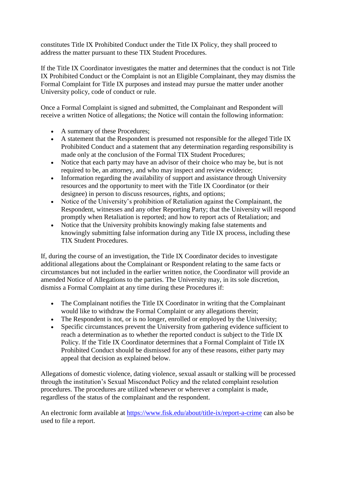constitutes Title IX Prohibited Conduct under the Title IX Policy, they shall proceed to address the matter pursuant to these TIX Student Procedures.

If the Title IX Coordinator investigates the matter and determines that the conduct is not Title IX Prohibited Conduct or the Complaint is not an Eligible Complainant, they may dismiss the Formal Complaint for Title IX purposes and instead may pursue the matter under another University policy, code of conduct or rule.

Once a Formal Complaint is signed and submitted, the Complainant and Respondent will receive a written Notice of allegations; the Notice will contain the following information:

- A summary of these Procedures;
- A statement that the Respondent is presumed not responsible for the alleged Title IX Prohibited Conduct and a statement that any determination regarding responsibility is made only at the conclusion of the Formal TIX Student Procedures;
- Notice that each party may have an advisor of their choice who may be, but is not required to be, an attorney, and who may inspect and review evidence;
- Information regarding the availability of support and assistance through University resources and the opportunity to meet with the Title IX Coordinator (or their designee) in person to discuss resources, rights, and options;
- Notice of the University's prohibition of Retaliation against the Complainant, the Respondent, witnesses and any other Reporting Party; that the University will respond promptly when Retaliation is reported; and how to report acts of Retaliation; and
- Notice that the University prohibits knowingly making false statements and knowingly submitting false information during any Title IX process, including these TIX Student Procedures.

If, during the course of an investigation, the Title IX Coordinator decides to investigate additional allegations about the Complainant or Respondent relating to the same facts or circumstances but not included in the earlier written notice, the Coordinator will provide an amended Notice of Allegations to the parties. The University may, in its sole discretion, dismiss a Formal Complaint at any time during these Procedures if:

- The Complainant notifies the Title IX Coordinator in writing that the Complainant would like to withdraw the Formal Complaint or any allegations therein;
- The Respondent is not, or is no longer, enrolled or employed by the University;
- Specific circumstances prevent the University from gathering evidence sufficient to reach a determination as to whether the reported conduct is subject to the Title IX Policy. If the Title IX Coordinator determines that a Formal Complaint of Title IX Prohibited Conduct should be dismissed for any of these reasons, either party may appeal that decision as explained below.

Allegations of domestic violence, dating violence, sexual assault or stalking will be processed through the institution's Sexual Misconduct Policy and the related complaint resolution procedures. The procedures are utilized whenever or wherever a complaint is made, regardless of the status of the complainant and the respondent.

An electronic form available at <https://www.fisk.edu/about/title-ix/report-a-crime> can also be used to file a report.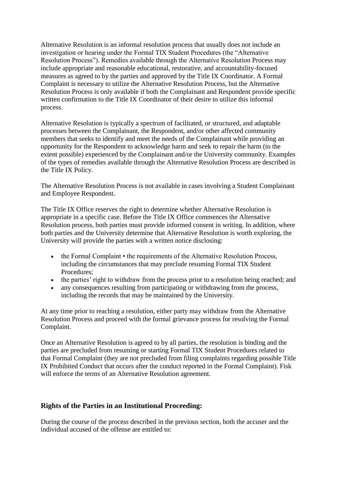Alternative Resolution is an informal resolution process that usually does not include an investigation or hearing under the Formal TIX Student Procedures (the "Alternative Resolution Process"). Remedies available through the Alternative Resolution Process may include appropriate and reasonable educational, restorative, and accountability-focused measures as agreed to by the parties and approved by the Title IX Coordinator. A Formal Complaint is necessary to utilize the Alternative Resolution Process, but the Alternative Resolution Process is only available if both the Complainant and Respondent provide specific written confirmation to the Title IX Coordinator of their desire to utilize this informal process.

Alternative Resolution is typically a spectrum of facilitated, or structured, and adaptable processes between the Complainant, the Respondent, and/or other affected community members that seeks to identify and meet the needs of the Complainant while providing an opportunity for the Respondent to acknowledge harm and seek to repair the harm (to the extent possible) experienced by the Complainant and/or the University community. Examples of the types of remedies available through the Alternative Resolution Process are described in the Title IX Policy.

The Alternative Resolution Process is not available in cases involving a Student Complainant and Employee Respondent.

The Title IX Office reserves the right to determine whether Alternative Resolution is appropriate in a specific case. Before the Title IX Office commences the Alternative Resolution process, both parties must provide informed consent in writing. In addition, where both parties and the University determine that Alternative Resolution is worth exploring, the University will provide the parties with a written notice disclosing:

- the Formal Complaint the requirements of the Alternative Resolution Process, including the circumstances that may preclude resuming Formal TIX Student Procedures;
- the parties' right to withdraw from the process prior to a resolution being reached; and
- any consequences resulting from participating or withdrawing from the process, including the records that may be maintained by the University.

At any time prior to reaching a resolution, either party may withdraw from the Alternative Resolution Process and proceed with the formal grievance process for resolving the Formal Complaint.

Once an Alternative Resolution is agreed to by all parties, the resolution is binding and the parties are precluded from resuming or starting Formal TIX Student Procedures related to that Formal Complaint (they are not precluded from filing complaints regarding possible Title IX Prohibited Conduct that occurs after the conduct reported in the Formal Complaint). Fisk will enforce the terms of an Alternative Resolution agreement.

# **Rights of the Parties in an Institutional Proceeding:**

During the course of the process described in the previous section, both the accuser and the individual accused of the offense are entitled to: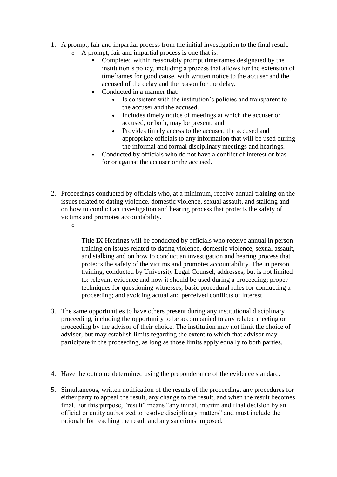- 1. A prompt, fair and impartial process from the initial investigation to the final result.
	- o A prompt, fair and impartial process is one that is:
		- Completed within reasonably prompt timeframes designated by the institution's policy, including a process that allows for the extension of timeframes for good cause, with written notice to the accuser and the accused of the delay and the reason for the delay.
		- Conducted in a manner that:
			- Is consistent with the institution's policies and transparent to the accuser and the accused.
			- Includes timely notice of meetings at which the accuser or accused, or both, may be present; and
			- Provides timely access to the accuser, the accused and appropriate officials to any information that will be used during the informal and formal disciplinary meetings and hearings.
		- Conducted by officials who do not have a conflict of interest or bias for or against the accuser or the accused.
- 2. Proceedings conducted by officials who, at a minimum, receive annual training on the issues related to dating violence, domestic violence, sexual assault, and stalking and on how to conduct an investigation and hearing process that protects the safety of victims and promotes accountability.
	- o

Title IX Hearings will be conducted by officials who receive annual in person training on issues related to dating violence, domestic violence, sexual assault, and stalking and on how to conduct an investigation and hearing process that protects the safety of the victims and promotes accountability. The in person training, conducted by University Legal Counsel, addresses, but is not limited to: relevant evidence and how it should be used during a proceeding; proper techniques for questioning witnesses; basic procedural rules for conducting a proceeding; and avoiding actual and perceived conflicts of interest

- 3. The same opportunities to have others present during any institutional disciplinary proceeding, including the opportunity to be accompanied to any related meeting or proceeding by the advisor of their choice. The institution may not limit the choice of advisor, but may establish limits regarding the extent to which that advisor may participate in the proceeding, as long as those limits apply equally to both parties.
- 4. Have the outcome determined using the preponderance of the evidence standard.
- 5. Simultaneous, written notification of the results of the proceeding, any procedures for either party to appeal the result, any change to the result, and when the result becomes final. For this purpose, "result" means "any initial, interim and final decision by an official or entity authorized to resolve disciplinary matters" and must include the rationale for reaching the result and any sanctions imposed.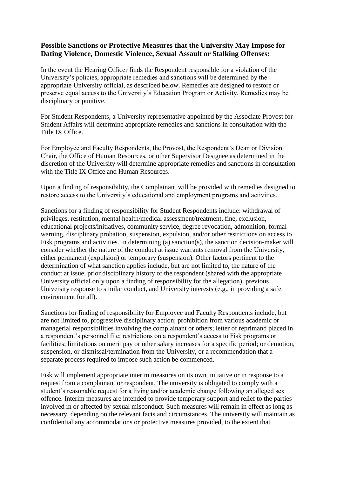# **Possible Sanctions or Protective Measures that the University May Impose for Dating Violence, Domestic Violence, Sexual Assault or Stalking Offenses:**

In the event the Hearing Officer finds the Respondent responsible for a violation of the University's policies, appropriate remedies and sanctions will be determined by the appropriate University official, as described below. Remedies are designed to restore or preserve equal access to the University's Education Program or Activity. Remedies may be disciplinary or punitive.

For Student Respondents, a University representative appointed by the Associate Provost for Student Affairs will determine appropriate remedies and sanctions in consultation with the Title IX Office.

For Employee and Faculty Respondents, the Provost, the Respondent's Dean or Division Chair, the Office of Human Resources, or other Supervisor Designee as determined in the discretion of the University will determine appropriate remedies and sanctions in consultation with the Title IX Office and Human Resources.

Upon a finding of responsibility, the Complainant will be provided with remedies designed to restore access to the University's educational and employment programs and activities.

Sanctions for a finding of responsibility for Student Respondents include: withdrawal of privileges, restitution, mental health/medical assessment/treatment, fine, exclusion, educational projects/initiatives, community service, degree revocation, admonition, formal warning, disciplinary probation, suspension, expulsion, and/or other restrictions on access to Fisk programs and activities. In determining (a) sanction(s), the sanction decision-maker will consider whether the nature of the conduct at issue warrants removal from the University, either permanent (expulsion) or temporary (suspension). Other factors pertinent to the determination of what sanction applies include, but are not limited to, the nature of the conduct at issue, prior disciplinary history of the respondent (shared with the appropriate University official only upon a finding of responsibility for the allegation), previous University response to similar conduct, and University interests (e.g., in providing a safe environment for all).

Sanctions for finding of responsibility for Employee and Faculty Respondents include, but are not limited to, progressive disciplinary action; prohibition from various academic or managerial responsibilities involving the complainant or others; letter of reprimand placed in a respondent's personnel file; restrictions on a respondent's access to Fisk programs or facilities; limitations on merit pay or other salary increases for a specific period; or demotion, suspension, or dismissal/termination from the University, or a recommendation that a separate process required to impose such action be commenced.

Fisk will implement appropriate interim measures on its own initiative or in response to a request from a complainant or respondent. The university is obligated to comply with a student's reasonable request for a living and/or academic change following an alleged sex offence. Interim measures are intended to provide temporary support and relief to the parties involved in or affected by sexual misconduct. Such measures will remain in effect as long as necessary, depending on the relevant facts and circumstances. The university will maintain as confidential any accommodations or protective measures provided, to the extent that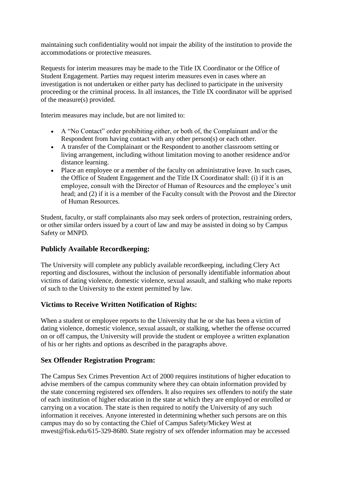maintaining such confidentiality would not impair the ability of the institution to provide the accommodations or protective measures.

Requests for interim measures may be made to the Title IX Coordinator or the Office of Student Engagement. Parties may request interim measures even in cases where an investigation is not undertaken or either party has declined to participate in the university proceeding or the criminal process. In all instances, the Title IX coordinator will be apprised of the measure(s) provided.

Interim measures may include, but are not limited to:

- A "No Contact" order prohibiting either, or both of, the Complainant and/or the Respondent from having contact with any other person(s) or each other.
- A transfer of the Complainant or the Respondent to another classroom setting or living arrangement, including without limitation moving to another residence and/or distance learning.
- Place an employee or a member of the faculty on administrative leave. In such cases, the Office of Student Engagement and the Title IX Coordinator shall: (i) if it is an employee, consult with the Director of Human of Resources and the employee's unit head; and (2) if it is a member of the Faculty consult with the Provost and the Director of Human Resources.

Student, faculty, or staff complainants also may seek orders of protection, restraining orders, or other similar orders issued by a court of law and may be assisted in doing so by Campus Safety or MNPD.

# **Publicly Available Recordkeeping:**

The University will complete any publicly available recordkeeping, including Clery Act reporting and disclosures, without the inclusion of personally identifiable information about victims of dating violence, domestic violence, sexual assault, and stalking who make reports of such to the University to the extent permitted by law.

# **Victims to Receive Written Notification of Rights:**

When a student or employee reports to the University that he or she has been a victim of dating violence, domestic violence, sexual assault, or stalking, whether the offense occurred on or off campus, the University will provide the student or employee a written explanation of his or her rights and options as described in the paragraphs above.

# **Sex Offender Registration Program:**

The Campus Sex Crimes Prevention Act of 2000 requires institutions of higher education to advise members of the campus community where they can obtain information provided by the state concerning registered sex offenders. It also requires sex offenders to notify the state of each institution of higher education in the state at which they are employed or enrolled or carrying on a vocation. The state is then required to notify the University of any such information it receives. Anyone interested in determining whether such persons are on this campus may do so by contacting the Chief of Campus Safety/Mickey West at mwest@fisk.edu/615-329-8680. State registry of sex offender information may be accessed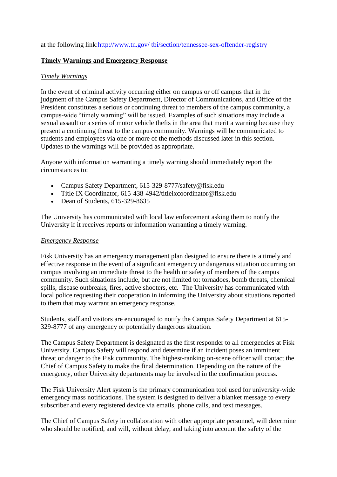at the following link[:http://www.tn.gov/ tbi/section/tennessee-sex-offender-registry](http://www.tn.gov/%20tbi/section/tennessee-sex-offender-registry)

#### **Timely Warnings and Emergency Response**

#### *Timely Warnings*

In the event of criminal activity occurring either on campus or off campus that in the judgment of the Campus Safety Department, Director of Communications, and Office of the President constitutes a serious or continuing threat to members of the campus community, a campus-wide "timely warning" will be issued. Examples of such situations may include a sexual assault or a series of motor vehicle thefts in the area that merit a warning because they present a continuing threat to the campus community. Warnings will be communicated to students and employees via one or more of the methods discussed later in this section. Updates to the warnings will be provided as appropriate.

Anyone with information warranting a timely warning should immediately report the circumstances to:

- Campus Safety Department, 615-329-8777/safety@fisk.edu
- Title IX Coordinator, 615-438-4942/titleixcoordinator@fisk.edu
- $\bullet$  Dean of Students, 615-329-8635

The University has communicated with local law enforcement asking them to notify the University if it receives reports or information warranting a timely warning.

#### *Emergency Response*

Fisk University has an emergency management plan designed to ensure there is a timely and effective response in the event of a significant emergency or dangerous situation occurring on campus involving an immediate threat to the health or safety of members of the campus community. Such situations include, but are not limited to: tornadoes, bomb threats, chemical spills, disease outbreaks, fires, active shooters, etc. The University has communicated with local police requesting their cooperation in informing the University about situations reported to them that may warrant an emergency response.

Students, staff and visitors are encouraged to notify the Campus Safety Department at 615- 329-8777 of any emergency or potentially dangerous situation.

The Campus Safety Department is designated as the first responder to all emergencies at Fisk University. Campus Safety will respond and determine if an incident poses an imminent threat or danger to the Fisk community. The highest-ranking on-scene officer will contact the Chief of Campus Safety to make the final determination. Depending on the nature of the emergency, other University departments may be involved in the confirmation process.

The Fisk University Alert system is the primary communication tool used for university-wide emergency mass notifications. The system is designed to deliver a blanket message to every subscriber and every registered device via emails, phone calls, and text messages.

The Chief of Campus Safety in collaboration with other appropriate personnel, will determine who should be notified, and will, without delay, and taking into account the safety of the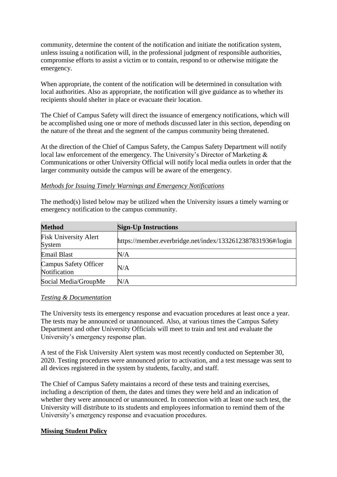community, determine the content of the notification and initiate the notification system, unless issuing a notification will, in the professional judgment of responsible authorities, compromise efforts to assist a victim or to contain, respond to or otherwise mitigate the emergency.

When appropriate, the content of the notification will be determined in consultation with local authorities. Also as appropriate, the notification will give guidance as to whether its recipients should shelter in place or evacuate their location.

The Chief of Campus Safety will direct the issuance of emergency notifications, which will be accomplished using one or more of methods discussed later in this section, depending on the nature of the threat and the segment of the campus community being threatened.

At the direction of the Chief of Campus Safety, the Campus Safety Department will notify local law enforcement of the emergency. The University's Director of Marketing & Communications or other University Official will notify local media outlets in order that the larger community outside the campus will be aware of the emergency.

#### *Methods for Issuing Timely Warnings and Emergency Notifications*

The method(s) listed below may be utilized when the University issues a timely warning or emergency notification to the campus community.

| <b>Method</b>                          | <b>Sign-Up Instructions</b>                                 |
|----------------------------------------|-------------------------------------------------------------|
| <b>Fisk University Alert</b><br>System | https://member.everbridge.net/index/1332612387831936#/login |
| <b>Email Blast</b>                     | N/A                                                         |
| Campus Safety Officer<br>Notification  | N/A                                                         |
| Social Media/GroupMe                   | N/A                                                         |

#### *Testing & Documentation*

The University tests its emergency response and evacuation procedures at least once a year. The tests may be announced or unannounced. Also, at various times the Campus Safety Department and other University Officials will meet to train and test and evaluate the University's emergency response plan.

A test of the Fisk University Alert system was most recently conducted on September 30, 2020. Testing procedures were announced prior to activation, and a test message was sent to all devices registered in the system by students, faculty, and staff.

The Chief of Campus Safety maintains a record of these tests and training exercises, including a description of them, the dates and times they were held and an indication of whether they were announced or unannounced. In connection with at least one such test, the University will distribute to its students and employees information to remind them of the University's emergency response and evacuation procedures.

# **Missing Student Policy**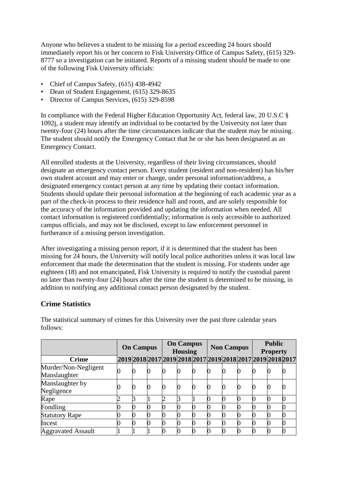Anyone who believes a student to be missing for a period exceeding 24 hours should immediately report his or her concern to Fisk University Office of Campus Safety, (615) 329- 8777 so a investigation can be initiated. Reports of a missing student should be made to one of the following Fisk University officials:

- Chief of Campus Safety, (615) 438-4942
- Dean of Student Engagement, (615) 329-8635
- Director of Campus Services, (615) 329-8598

In compliance with the Federal Higher Education Opportunity Act, federal law, 20 U.S.C § 1092j, a student may identify an individual to be contacted by the University not later than twenty-four (24) hours after the time circumstances indicate that the student may be missing. The student should notify the Emergency Contact that he or she has been designated as an Emergency Contact.

All enrolled students at the University, regardless of their living circumstances, should designate an emergency contact person. Every student (resident and non-resident) has his/her own student account and may enter or change, under personal information/address, a designated emergency contact person at any time by updating their contact information. Students should update their personal information at the beginning of each academic year as a part of the check-in process to their residence hall and room, and are solely responsible for the accuracy of the information provided and updating the information when needed. All contact information is registered confidentially; information is only accessible to authorized campus officials, and may not be disclosed, except to law enforcement personnel in furtherance of a missing person investigation.

After investigating a missing person report, if it is determined that the student has been missing for 24 hours, the University will notify local police authorities unless it was local law enforcement that made the determination that the student is missing. For students under age eighteen (18) and not emancipated, Fisk University is required to notify the custodial parent no later than twenty-four (24) hours after the time the student is determined to be missing, in addition to notifying any additional contact person designated by the student.

# **Crime Statistics**

|                           | <b>On Campus</b> |  |  | <b>On Campus</b><br><b>Housing</b> |  |  | <b>Non Campus</b>                                           |  |   | <b>Public</b><br><b>Property</b> |  |  |
|---------------------------|------------------|--|--|------------------------------------|--|--|-------------------------------------------------------------|--|---|----------------------------------|--|--|
| <b>Crime</b>              |                  |  |  |                                    |  |  | 2019 2018 2017 2019 2018 2017 2019 2018 2017 2019 2018 2017 |  |   |                                  |  |  |
| Murder/Non-Negligent      |                  |  |  |                                    |  |  |                                                             |  |   |                                  |  |  |
| Manslaughter              |                  |  |  |                                    |  |  |                                                             |  | U |                                  |  |  |
| Manslaughter by           |                  |  |  |                                    |  |  |                                                             |  |   |                                  |  |  |
| Negligence                |                  |  |  |                                    |  |  |                                                             |  |   |                                  |  |  |
| Rape                      |                  |  |  |                                    |  |  |                                                             |  |   |                                  |  |  |
| Fondling                  |                  |  |  |                                    |  |  |                                                             |  |   |                                  |  |  |
| <b>Statutory Rape</b>     |                  |  |  |                                    |  |  |                                                             |  |   |                                  |  |  |
| Incest                    |                  |  |  |                                    |  |  |                                                             |  |   |                                  |  |  |
| <b>Aggravated Assault</b> |                  |  |  |                                    |  |  |                                                             |  |   |                                  |  |  |

The statistical summary of crimes for this University over the past three calendar years follows: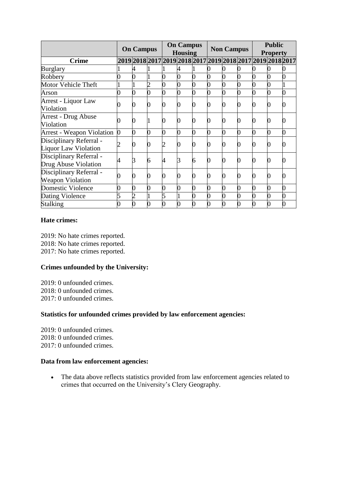|                                                        | <b>On Campus</b> |                                                             | <b>On Campus</b><br><b>Housing</b> |   |                  | <b>Non Campus</b> |  |  | <b>Public</b><br><b>Property</b> |                |  |  |
|--------------------------------------------------------|------------------|-------------------------------------------------------------|------------------------------------|---|------------------|-------------------|--|--|----------------------------------|----------------|--|--|
| <b>Crime</b>                                           |                  | 2019 2018 2017 2019 2018 2017 2019 2018 2017 2019 2018 2017 |                                    |   |                  |                   |  |  |                                  |                |  |  |
| <b>Burglary</b>                                        |                  |                                                             |                                    |   |                  |                   |  |  |                                  |                |  |  |
| Robbery                                                |                  |                                                             |                                    |   | 0                |                   |  |  |                                  |                |  |  |
| <b>Motor Vehicle Theft</b>                             |                  |                                                             |                                    |   | $\overline{0}$   |                   |  |  |                                  | $\overline{0}$ |  |  |
| Arson                                                  |                  |                                                             |                                    |   | $\overline{0}$   |                   |  |  |                                  | 0              |  |  |
| Arrest - Liquor Law<br>Violation                       |                  |                                                             |                                    |   | $\overline{0}$   |                   |  |  |                                  |                |  |  |
| <b>Arrest - Drug Abuse</b><br>Violation                |                  |                                                             |                                    |   | $\boldsymbol{0}$ |                   |  |  |                                  |                |  |  |
| <b>Arrest - Weapon Violation</b>                       |                  |                                                             |                                    | ∩ | $\overline{0}$   |                   |  |  | 0                                | 0              |  |  |
| Disciplinary Referral -<br><b>Liquor Law Violation</b> |                  |                                                             |                                    |   | 0                |                   |  |  |                                  |                |  |  |
| Disciplinary Referral -<br>Drug Abuse Violation        |                  | 3                                                           | 6                                  | 4 | 3                | 6                 |  |  | 0                                |                |  |  |
| Disciplinary Referral -<br><b>Weapon Violation</b>     |                  |                                                             |                                    |   | 0                |                   |  |  |                                  |                |  |  |
| <b>Domestic Violence</b>                               |                  |                                                             | 0                                  | 0 | $\overline{0}$   |                   |  |  | 0                                | $\overline{0}$ |  |  |
| Dating Violence                                        |                  |                                                             |                                    |   |                  |                   |  |  | 0                                | 0              |  |  |
| Stalking                                               |                  |                                                             |                                    |   |                  |                   |  |  |                                  |                |  |  |

#### **Hate crimes:**

2019: No hate crimes reported. 2018: No hate crimes reported. 2017: No hate crimes reported.

# **Crimes unfounded by the University:**

2019: 0 unfounded crimes. 2018: 0 unfounded crimes. 2017: 0 unfounded crimes.

# **Statistics for unfounded crimes provided by law enforcement agencies:**

2019: 0 unfounded crimes. 2018: 0 unfounded crimes. 2017: 0 unfounded crimes.

#### **Data from law enforcement agencies:**

 The data above reflects statistics provided from law enforcement agencies related to crimes that occurred on the University's Clery Geography.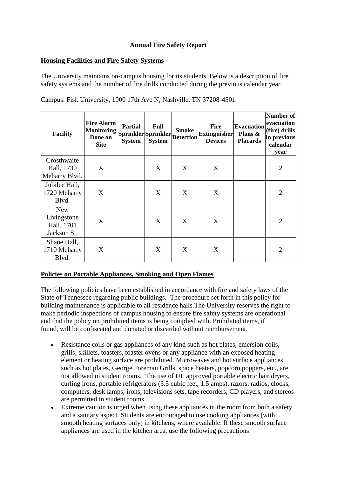# **Annual Fire Safety Report**

#### **Housing Facilities and Fire Safety Systems**

The University maintains on-campus housing for its students. Below is a description of fire safety systems and the number of fire drills conducted during the previous calendar year.

| <b>Facility</b>                                        | <b>Fire Alarm</b><br><b>Monitoring</b><br>Done on<br><b>Site</b> | <b>Partial</b><br><b>System</b> | Full<br>Sprinkler Sprinkler<br><b>System</b> | <b>Smoke</b><br><b>Detection</b> | <b>Fire</b><br><b>Extinguisher</b><br><b>Devices</b> | <b>Evacuation</b><br>Plans &<br><b>Placards</b> | <b>Number of</b><br>evacuation<br>(fire) drills<br>in previous<br>calendar<br>year |
|--------------------------------------------------------|------------------------------------------------------------------|---------------------------------|----------------------------------------------|----------------------------------|------------------------------------------------------|-------------------------------------------------|------------------------------------------------------------------------------------|
| Crosthwaite<br>Hall, 1730<br>Meharry Blvd.             | X                                                                |                                 | X                                            | X                                | X                                                    |                                                 | $\overline{2}$                                                                     |
| Jubilee Hall,<br>1720 Meharry<br>Blvd.                 | X                                                                |                                 | X                                            | X                                | X                                                    |                                                 | $\overline{2}$                                                                     |
| <b>New</b><br>Livingstone<br>Hall, 1701<br>Jackson St. | X                                                                |                                 | X                                            | X                                | X                                                    |                                                 | $\overline{2}$                                                                     |
| Shane Hall,<br>1710 Meharry<br>Blvd.                   | X                                                                |                                 | X                                            | X                                | X                                                    |                                                 | $\overline{2}$                                                                     |

Campus: Fisk University, 1000 17th Ave N, Nashville, TN 37208-4501

# **Policies on Portable Appliances, Smoking and Open Flames**

The following policies have been established in accordance with fire and safety laws of the State of Tennessee regarding public buildings. The procedure set forth in this policy for building maintenance is applicable to all residence halls.The University reserves the right to make periodic inspections of campus housing to ensure fire safety systems are operational and that the policy on prohibited items is being complied with. Prohibited items, if found, will be confiscated and donated or discarded without reimbursement.

- Resistance coils or gas appliances of any kind such as hot plates, emersion coils, grills, skillets, toasters, toaster ovens or any appliance with an exposed heating element or heating surface are prohibited. Microwaves and hot surface appliances, such as hot plates, George Foreman Grills, space heaters, popcorn poppers, etc., are not allowed in student rooms. The use of UL approved portable electric hair dryers, curling irons, portable refrigerators (3.5 cubic feet, 1.5 amps), razors, radios, clocks, computers, desk lamps, irons, televisions sets, tape recorders, CD players, and stereos are permitted in student rooms.
- Extreme caution is urged when using these appliances in the room from both a safety and a sanitary aspect. Students are encouraged to use cooking appliances (with smooth heating surfaces only) in kitchens, where available. If these smooth surface appliances are used in the kitchen area, use the following precautions: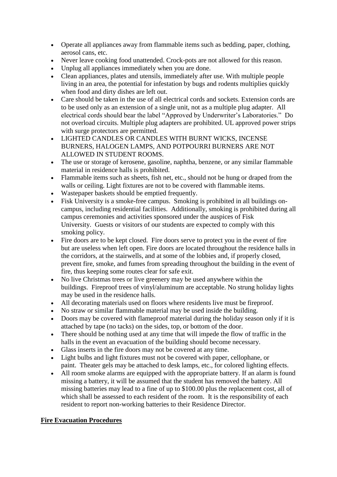- Operate all appliances away from flammable items such as bedding, paper, clothing, aerosol cans, etc.
- Never leave cooking food unattended. Crock-pots are not allowed for this reason.
- Unplug all appliances immediately when you are done.
- Clean appliances, plates and utensils, immediately after use. With multiple people living in an area, the potential for infestation by bugs and rodents multiplies quickly when food and dirty dishes are left out.
- Care should be taken in the use of all electrical cords and sockets. Extension cords are to be used only as an extension of a single unit, not as a multiple plug adapter. All electrical cords should bear the label "Approved by Underwriter's Laboratories." Do not overload circuits. Multiple plug adapters are prohibited. UL approved power strips with surge protectors are permitted.
- LIGHTED CANDLES OR CANDLES WITH BURNT WICKS, INCENSE BURNERS, HALOGEN LAMPS, AND POTPOURRI BURNERS ARE NOT ALLOWED IN STUDENT ROOMS.
- The use or storage of kerosene, gasoline, naphtha, benzene, or any similar flammable material in residence halls is prohibited.
- Flammable items such as sheets, fish net, etc., should not be hung or draped from the walls or ceiling. Light fixtures are not to be covered with flammable items.
- Wastepaper baskets should be emptied frequently.
- Fisk University is a smoke-free campus. Smoking is prohibited in all buildings oncampus, including residential facilities. Additionally, smoking is prohibited during all campus ceremonies and activities sponsored under the auspices of Fisk University. Guests or visitors of our students are expected to comply with this smoking policy.
- Fire doors are to be kept closed. Fire doors serve to protect you in the event of fire but are useless when left open. Fire doors are located throughout the residence halls in the corridors, at the stairwells, and at some of the lobbies and, if properly closed, prevent fire, smoke, and fumes from spreading throughout the building in the event of fire, thus keeping some routes clear for safe exit.
- No live Christmas trees or live greenery may be used anywhere within the buildings. Fireproof trees of vinyl/aluminum are acceptable. No strung holiday lights may be used in the residence halls.
- All decorating materials used on floors where residents live must be fireproof.
- No straw or similar flammable material may be used inside the building.
- Doors may be covered with flameproof material during the holiday season only if it is attached by tape (no tacks) on the sides, top, or bottom of the door.
- There should be nothing used at any time that will impede the flow of traffic in the halls in the event an evacuation of the building should become necessary.
- Glass inserts in the fire doors may not be covered at any time.
- Light bulbs and light fixtures must not be covered with paper, cellophane, or paint. Theater gels may be attached to desk lamps, etc., for colored lighting effects.
- All room smoke alarms are equipped with the appropriate battery. If an alarm is found missing a battery, it will be assumed that the student has removed the battery. All missing batteries may lead to a fine of up to \$100.00 plus the replacement cost, all of which shall be assessed to each resident of the room. It is the responsibility of each resident to report non-working batteries to their Residence Director.

# **Fire Evacuation Procedures**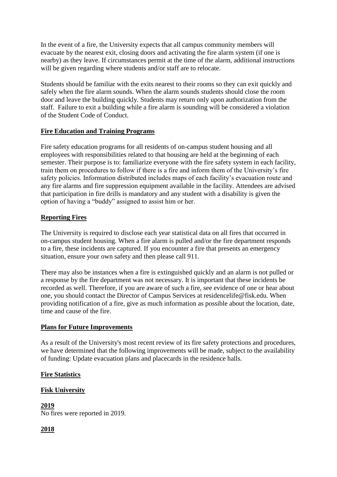In the event of a fire, the University expects that all campus community members will evacuate by the nearest exit, closing doors and activating the fire alarm system (if one is nearby) as they leave. If circumstances permit at the time of the alarm, additional instructions will be given regarding where students and/or staff are to relocate.

Students should be familiar with the exits nearest to their rooms so they can exit quickly and safely when the fire alarm sounds. When the alarm sounds students should close the room door and leave the building quickly. Students may return only upon authorization from the staff. Failure to exit a building while a fire alarm is sounding will be considered a violation of the Student Code of Conduct.

# **Fire Education and Training Programs**

Fire safety education programs for all residents of on-campus student housing and all employees with responsibilities related to that housing are held at the beginning of each semester. Their purpose is to: familiarize everyone with the fire safety system in each facility, train them on procedures to follow if there is a fire and inform them of the University's fire safety policies. Information distributed includes maps of each facility's evacuation route and any fire alarms and fire suppression equipment available in the facility. Attendees are advised that participation in fire drills is mandatory and any student with a disability is given the option of having a "buddy" assigned to assist him or her.

#### **Reporting Fires**

The University is required to disclose each year statistical data on all fires that occurred in on-campus student housing. When a fire alarm is pulled and/or the fire department responds to a fire, these incidents are captured. If you encounter a fire that presents an emergency situation, ensure your own safety and then please call 911.

There may also be instances when a fire is extinguished quickly and an alarm is not pulled or a response by the fire department was not necessary. It is important that these incidents be recorded as well. Therefore, if you are aware of such a fire, see evidence of one or hear about one, you should contact the Director of Campus Services at residencelife@fisk.edu. When providing notification of a fire, give as much information as possible about the location, date, time and cause of the fire.

#### **Plans for Future Improvements**

As a result of the University's most recent review of its fire safety protections and procedures, we have determined that the following improvements will be made, subject to the availability of funding: Update evacuation plans and placecards in the residence halls.

# **Fire Statistics**

# **Fisk University**

**2019** No fires were reported in 2019.

# **2018**